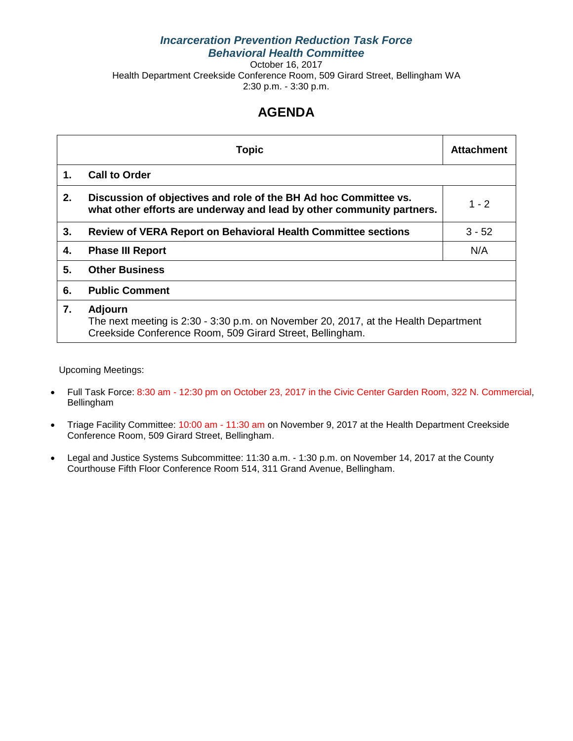## *Incarceration Prevention Reduction Task Force Behavioral Health Committee*

October 16, 2017 Health Department Creekside Conference Room, 509 Girard Street, Bellingham WA 2:30 p.m. - 3:30 p.m.

## **AGENDA**

|    | <b>Topic</b>                                                                                                                                                       | <b>Attachment</b> |  |
|----|--------------------------------------------------------------------------------------------------------------------------------------------------------------------|-------------------|--|
| 1. | <b>Call to Order</b>                                                                                                                                               |                   |  |
| 2. | Discussion of objectives and role of the BH Ad hoc Committee vs.<br>what other efforts are underway and lead by other community partners.                          | $1 - 2$           |  |
| 3. | <b>Review of VERA Report on Behavioral Health Committee sections</b>                                                                                               | $3 - 52$          |  |
| 4. | <b>Phase III Report</b>                                                                                                                                            | N/A               |  |
| 5. | <b>Other Business</b>                                                                                                                                              |                   |  |
| 6. | <b>Public Comment</b>                                                                                                                                              |                   |  |
| 7. | <b>Adjourn</b><br>The next meeting is 2:30 - 3:30 p.m. on November 20, 2017, at the Health Department<br>Creekside Conference Room, 509 Girard Street, Bellingham. |                   |  |

Upcoming Meetings:

- Full Task Force: 8:30 am 12:30 pm on October 23, 2017 in the Civic Center Garden Room, 322 N. Commercial, Bellingham
- Triage Facility Committee: 10:00 am 11:30 am on November 9, 2017 at the Health Department Creekside Conference Room, 509 Girard Street, Bellingham.
- Legal and Justice Systems Subcommittee: 11:30 a.m. 1:30 p.m. on November 14, 2017 at the County Courthouse Fifth Floor Conference Room 514, 311 Grand Avenue, Bellingham.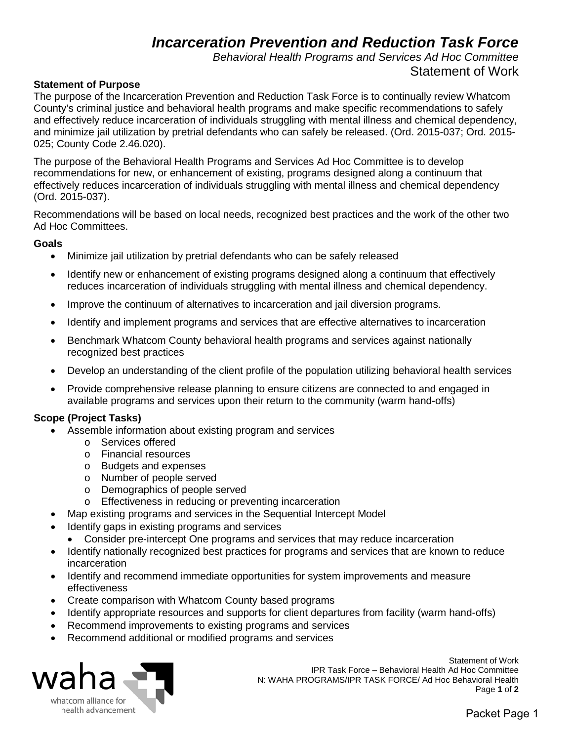## *Incarceration Prevention and Reduction Task Force*

*Behavioral Health Programs and Services Ad Hoc Committee* Statement of Work

### **Statement of Purpose**

The purpose of the Incarceration Prevention and Reduction Task Force is to continually review Whatcom County's criminal justice and behavioral health programs and make specific recommendations to safely and effectively reduce incarceration of individuals struggling with mental illness and chemical dependency, and minimize jail utilization by pretrial defendants who can safely be released. (Ord. 2015-037; Ord. 2015- 025; County Code 2.46.020).

The purpose of the Behavioral Health Programs and Services Ad Hoc Committee is to develop recommendations for new, or enhancement of existing, programs designed along a continuum that effectively reduces incarceration of individuals struggling with mental illness and chemical dependency (Ord. 2015-037).

Recommendations will be based on local needs, recognized best practices and the work of the other two Ad Hoc Committees.

### **Goals**

- Minimize jail utilization by pretrial defendants who can be safely released
- Identify new or enhancement of existing programs designed along a continuum that effectively reduces incarceration of individuals struggling with mental illness and chemical dependency.
- Improve the continuum of alternatives to incarceration and jail diversion programs.
- Identify and implement programs and services that are effective alternatives to incarceration
- Benchmark Whatcom County behavioral health programs and services against nationally recognized best practices
- Develop an understanding of the client profile of the population utilizing behavioral health services
- Provide comprehensive release planning to ensure citizens are connected to and engaged in available programs and services upon their return to the community (warm hand-offs)

## **Scope (Project Tasks)**

- Assemble information about existing program and services
	- o Services offered
	- o Financial resources
	- o Budgets and expenses
	- o Number of people served
	- o Demographics of people served
	- o Effectiveness in reducing or preventing incarceration
- Map existing programs and services in the Sequential Intercept Model
- Identify gaps in existing programs and services
	- Consider pre-intercept One programs and services that may reduce incarceration
- Identify nationally recognized best practices for programs and services that are known to reduce incarceration
- Identify and recommend immediate opportunities for system improvements and measure effectiveness
- Create comparison with Whatcom County based programs
- Identify appropriate resources and supports for client departures from facility (warm hand-offs)
- Recommend improvements to existing programs and services
- Recommend additional or modified programs and services



Statement of Work IPR Task Force – Behavioral Health Ad Hoc Committee N: WAHA PROGRAMS/IPR TASK FORCE/ Ad Hoc Behavioral Health<br>Page 1 of 2 Page **1** of **2**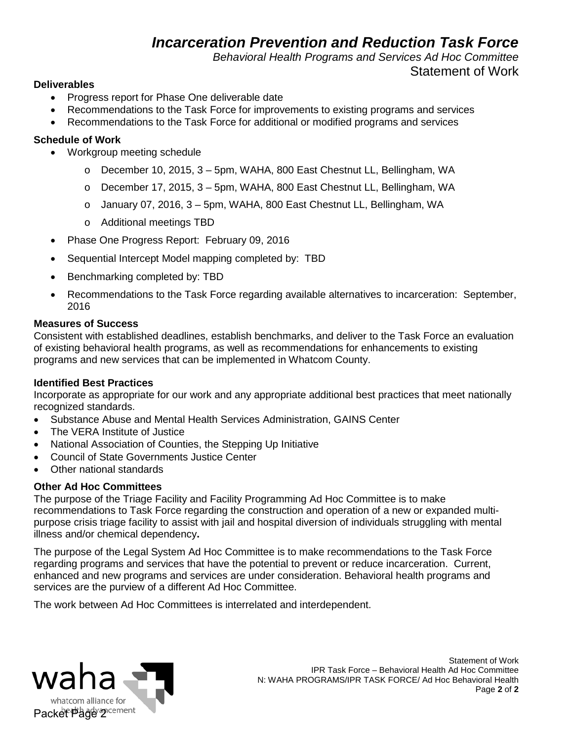## *Incarceration Prevention and Reduction Task Force*

*Behavioral Health Programs and Services Ad Hoc Committee*

## Statement of Work

## **Deliverables**

- Progress report for Phase One deliverable date
- Recommendations to the Task Force for improvements to existing programs and services
- Recommendations to the Task Force for additional or modified programs and services

## **Schedule of Work**

- Workgroup meeting schedule
	- o December 10, 2015, 3 5pm, WAHA, 800 East Chestnut LL, Bellingham, WA
	- o December 17, 2015, 3 5pm, WAHA, 800 East Chestnut LL, Bellingham, WA
	- o January 07, 2016, 3 5pm, WAHA, 800 East Chestnut LL, Bellingham, WA
	- o Additional meetings TBD
- Phase One Progress Report: February 09, 2016
- Sequential Intercept Model mapping completed by: TBD
- Benchmarking completed by: TBD
- Recommendations to the Task Force regarding available alternatives to incarceration: September, 2016

## **Measures of Success**

Consistent with established deadlines, establish benchmarks, and deliver to the Task Force an evaluation of existing behavioral health programs, as well as recommendations for enhancements to existing programs and new services that can be implemented in Whatcom County.

## **Identified Best Practices**

Incorporate as appropriate for our work and any appropriate additional best practices that meet nationally recognized standards.

- Substance Abuse and Mental Health Services Administration, GAINS Center
- The VERA Institute of Justice
- National Association of Counties, the Stepping Up Initiative
- Council of State Governments Justice Center
- Other national standards

## **Other Ad Hoc Committees**

The purpose of the Triage Facility and Facility Programming Ad Hoc Committee is to make recommendations to Task Force regarding the construction and operation of a new or expanded multipurpose crisis triage facility to assist with jail and hospital diversion of individuals struggling with mental illness and/or chemical dependency**.** 

The purpose of the Legal System Ad Hoc Committee is to make recommendations to the Task Force regarding programs and services that have the potential to prevent or reduce incarceration. Current, enhanced and new programs and services are under consideration. Behavioral health programs and services are the purview of a different Ad Hoc Committee.

The work between Ad Hoc Committees is interrelated and interdependent.

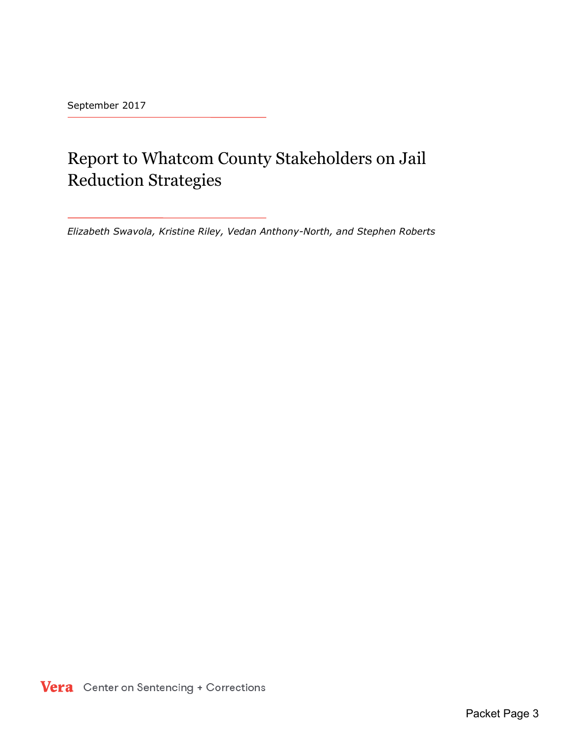September 2017

## Report to Whatcom County Stakeholders on Jail Reduction Strategies

*Elizabeth Swavola, Kristine Riley, Vedan Anthony-North, and Stephen Roberts* 

Vera Center on Sentencing + Corrections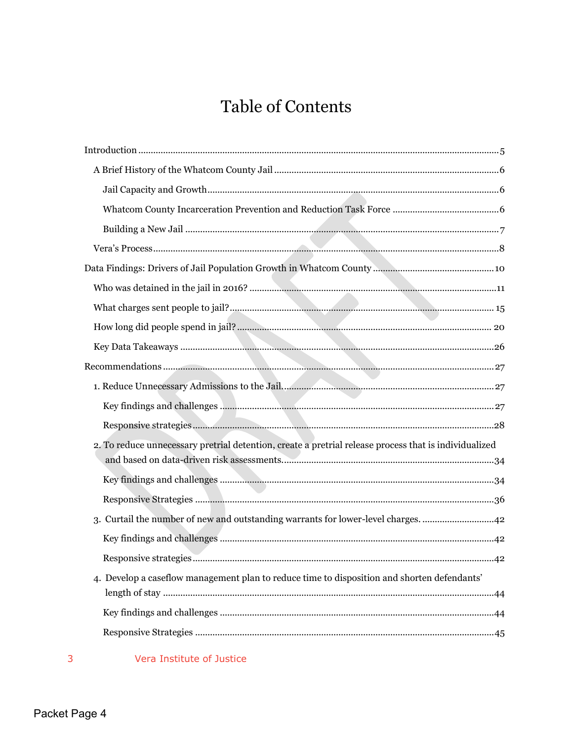# **Table of Contents**

## **Vera Institute of Justice**

 $3<sup>7</sup>$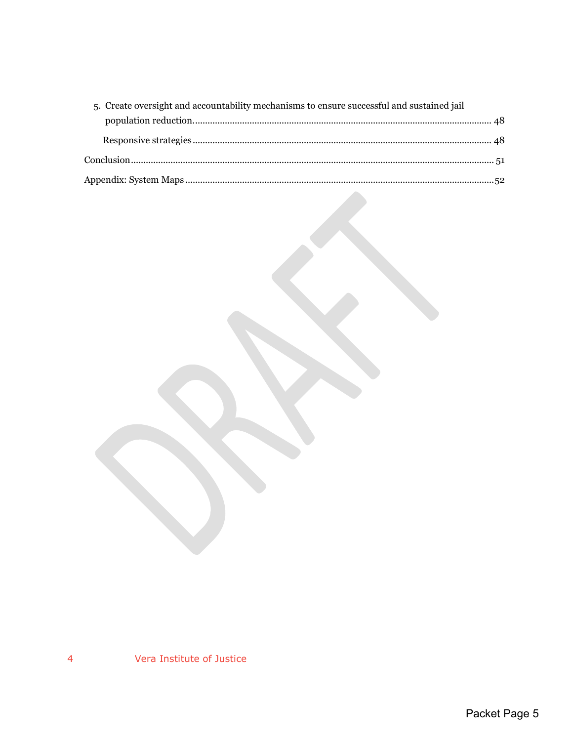| 5. Create oversight and accountability mechanisms to ensure successful and sustained jail |  |
|-------------------------------------------------------------------------------------------|--|
|                                                                                           |  |
|                                                                                           |  |
|                                                                                           |  |
|                                                                                           |  |

Vera Institute of Justice  $\overline{4}$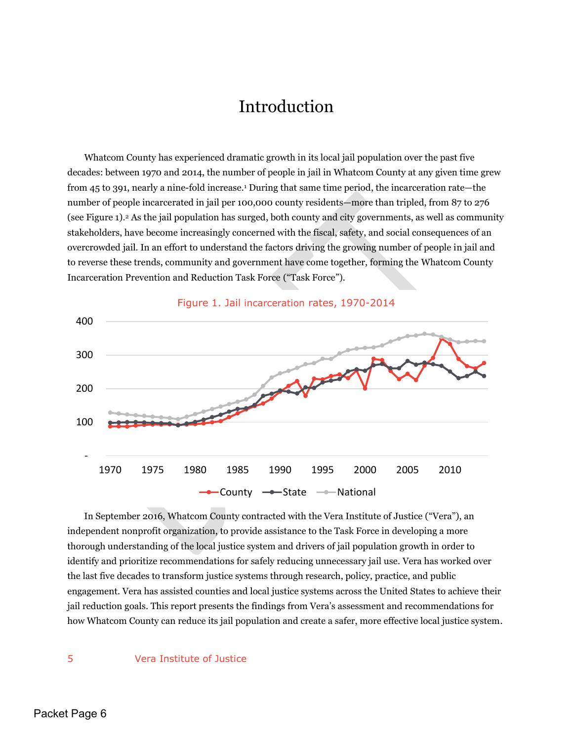## Introduction

<span id="page-6-0"></span>Whatcom County has experienced dramatic growth in its local jail population over the past five decades: between 1970 and 2014, the number of people in jail in Whatcom County at any given time grew from 45 to 391, nearly a nine-fold increase.<sup>1</sup> During that same time period, the incarceration rate—the number of people incarcerated in jail per 100,000 county residents—more than tripled, from 87 to 276 (see Figure 1).2 As the jail population has surged, both county and city governments, as well as community stakeholders, have become increasingly concerned with the fiscal, safety, and social consequences of an overcrowded jail. In an effort to understand the factors driving the growing number of people in jail and to reverse these trends, community and government have come together, forming the Whatcom County Incarceration Prevention and Reduction Task Force ("Task Force").



 In September 2016, Whatcom County contracted with the Vera Institute of Justice ("Vera"), an independent nonprofit organization, to provide assistance to the Task Force in developing a more thorough understanding of the local justice system and drivers of jail population growth in order to identify and prioritize recommendations for safely reducing unnecessary jail use. Vera has worked over the last five decades to transform justice systems through research, policy, practice, and public engagement. Vera has assisted counties and local justice systems across the United States to achieve their jail reduction goals. This report presents the findings from Vera's assessment and recommendations for how Whatcom County can reduce its jail population and create a safer, more effective local justice system.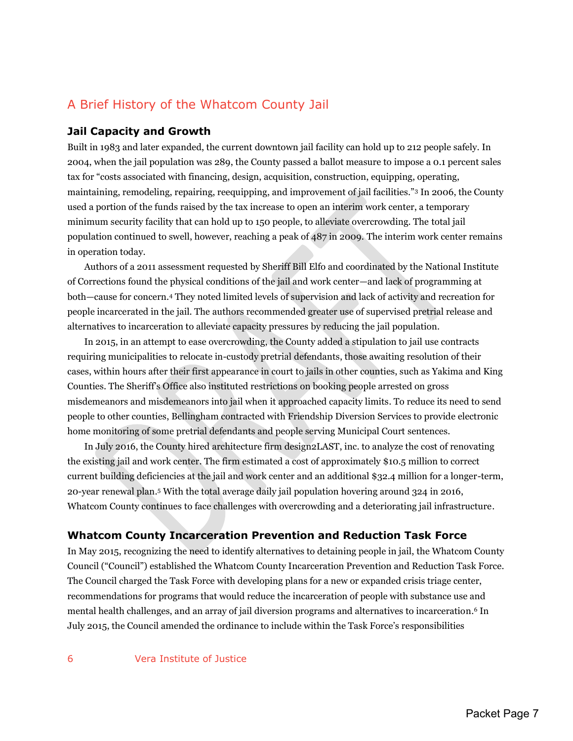## <span id="page-7-0"></span>A Brief History of the Whatcom County Jail

## <span id="page-7-1"></span>**Jail Capacity and Growth**

Built in 1983 and later expanded, the current downtown jail facility can hold up to 212 people safely. In 2004, when the jail population was 289, the County passed a ballot measure to impose a 0.1 percent sales tax for "costs associated with financing, design, acquisition, construction, equipping, operating, maintaining, remodeling, repairing, reequipping, and improvement of jail facilities."3 In 2006, the County used a portion of the funds raised by the tax increase to open an interim work center, a temporary minimum security facility that can hold up to 150 people, to alleviate overcrowding. The total jail population continued to swell, however, reaching a peak of 487 in 2009. The interim work center remains in operation today.

Authors of a 2011 assessment requested by Sheriff Bill Elfo and coordinated by the National Institute of Corrections found the physical conditions of the jail and work center—and lack of programming at both—cause for concern.4 They noted limited levels of supervision and lack of activity and recreation for people incarcerated in the jail. The authors recommended greater use of supervised pretrial release and alternatives to incarceration to alleviate capacity pressures by reducing the jail population.

In 2015, in an attempt to ease overcrowding, the County added a stipulation to jail use contracts requiring municipalities to relocate in-custody pretrial defendants, those awaiting resolution of their cases, within hours after their first appearance in court to jails in other counties, such as Yakima and King Counties. The Sheriff's Office also instituted restrictions on booking people arrested on gross misdemeanors and misdemeanors into jail when it approached capacity limits. To reduce its need to send people to other counties, Bellingham contracted with Friendship Diversion Services to provide electronic home monitoring of some pretrial defendants and people serving Municipal Court sentences.

In July 2016, the County hired architecture firm design2LAST, inc. to analyze the cost of renovating the existing jail and work center. The firm estimated a cost of approximately \$10.5 million to correct current building deficiencies at the jail and work center and an additional \$32.4 million for a longer-term, 20-year renewal plan.5 With the total average daily jail population hovering around 324 in 2016, Whatcom County continues to face challenges with overcrowding and a deteriorating jail infrastructure.

## <span id="page-7-2"></span>**Whatcom County Incarceration Prevention and Reduction Task Force**

In May 2015, recognizing the need to identify alternatives to detaining people in jail, the Whatcom County Council ("Council") established the Whatcom County Incarceration Prevention and Reduction Task Force. The Council charged the Task Force with developing plans for a new or expanded crisis triage center, recommendations for programs that would reduce the incarceration of people with substance use and mental health challenges, and an array of jail diversion programs and alternatives to incarceration.6 In July 2015, the Council amended the ordinance to include within the Task Force's responsibilities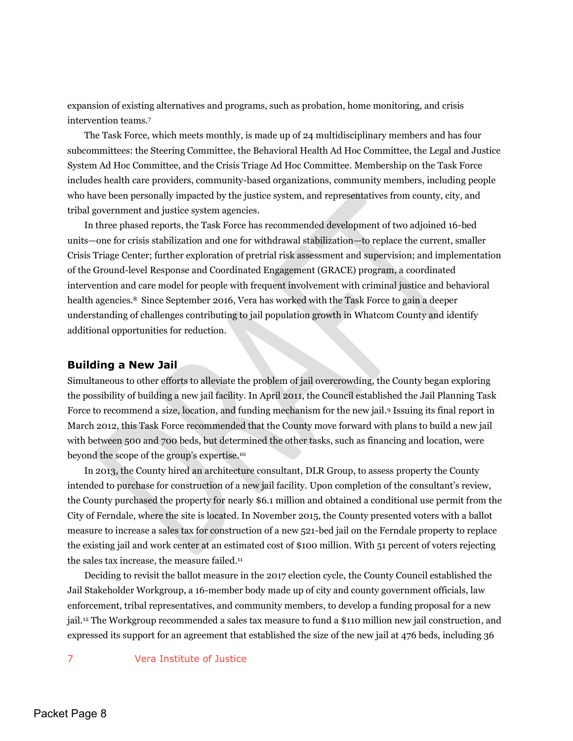expansion of existing alternatives and programs, such as probation, home monitoring, and crisis intervention teams.<sup>7</sup>

The Task Force, which meets monthly, is made up of 24 multidisciplinary members and has four subcommittees: the Steering Committee, the Behavioral Health Ad Hoc Committee, the Legal and Justice System Ad Hoc Committee, and the Crisis Triage Ad Hoc Committee. Membership on the Task Force includes health care providers, community-based organizations, community members, including people who have been personally impacted by the justice system, and representatives from county, city, and tribal government and justice system agencies.

In three phased reports, the Task Force has recommended development of two adjoined 16-bed units—one for crisis stabilization and one for withdrawal stabilization—to replace the current, smaller Crisis Triage Center; further exploration of pretrial risk assessment and supervision; and implementation of the Ground-level Response and Coordinated Engagement (GRACE) program, a coordinated intervention and care model for people with frequent involvement with criminal justice and behavioral health agencies.<sup>8</sup> Since September 2016, Vera has worked with the Task Force to gain a deeper understanding of challenges contributing to jail population growth in Whatcom County and identify additional opportunities for reduction.

#### <span id="page-8-0"></span>**Building a New Jail**

Simultaneous to other efforts to alleviate the problem of jail overcrowding, the County began exploring the possibility of building a new jail facility. In April 2011, the Council established the Jail Planning Task Force to recommend a size, location, and funding mechanism for the new jail.9 Issuing its final report in March 2012, this Task Force recommended that the County move forward with plans to build a new jail with between 500 and 700 beds, but determined the other tasks, such as financing and location, were beyond the scope of the group's expertise.<sup>10</sup>

In 2013, the County hired an architecture consultant, DLR Group, to assess property the County intended to purchase for construction of a new jail facility. Upon completion of the consultant's review, the County purchased the property for nearly \$6.1 million and obtained a conditional use permit from the City of Ferndale, where the site is located. In November 2015, the County presented voters with a ballot measure to increase a sales tax for construction of a new 521-bed jail on the Ferndale property to replace the existing jail and work center at an estimated cost of \$100 million. With 51 percent of voters rejecting the sales tax increase, the measure failed.<sup>11</sup>

Deciding to revisit the ballot measure in the 2017 election cycle, the County Council established the Jail Stakeholder Workgroup, a 16-member body made up of city and county government officials, law enforcement, tribal representatives, and community members, to develop a funding proposal for a new jail.12 The Workgroup recommended a sales tax measure to fund a \$110 million new jail construction, and expressed its support for an agreement that established the size of the new jail at 476 beds, including 36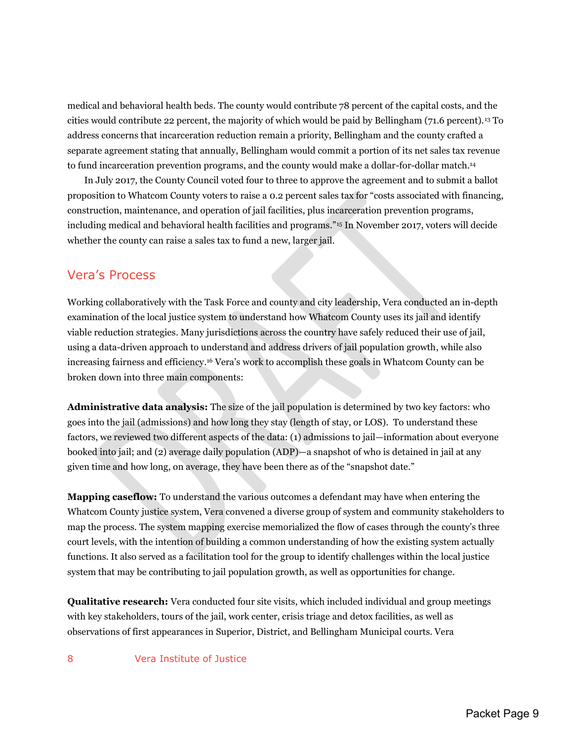medical and behavioral health beds. The county would contribute 78 percent of the capital costs, and the cities would contribute 22 percent, the majority of which would be paid by Bellingham (71.6 percent).13 To address concerns that incarceration reduction remain a priority, Bellingham and the county crafted a separate agreement stating that annually, Bellingham would commit a portion of its net sales tax revenue to fund incarceration prevention programs, and the county would make a dollar-for-dollar match. 14

In July 2017, the County Council voted four to three to approve the agreement and to submit a ballot proposition to Whatcom County voters to raise a 0.2 percent sales tax for "costs associated with financing, construction, maintenance, and operation of jail facilities, plus incarceration prevention programs, including medical and behavioral health facilities and programs."15 In November 2017, voters will decide whether the county can raise a sales tax to fund a new, larger jail.

## <span id="page-9-0"></span>Vera's Process

Working collaboratively with the Task Force and county and city leadership, Vera conducted an in-depth examination of the local justice system to understand how Whatcom County uses its jail and identify viable reduction strategies. Many jurisdictions across the country have safely reduced their use of jail, using a data-driven approach to understand and address drivers of jail population growth, while also increasing fairness and efficiency.<sup>16</sup> Vera's work to accomplish these goals in Whatcom County can be broken down into three main components:

**Administrative data analysis:** The size of the jail population is determined by two key factors: who goes into the jail (admissions) and how long they stay (length of stay, or LOS). To understand these factors, we reviewed two different aspects of the data: (1) admissions to jail—information about everyone booked into jail; and (2) average daily population (ADP)—a snapshot of who is detained in jail at any given time and how long, on average, they have been there as of the "snapshot date."

**Mapping caseflow:** To understand the various outcomes a defendant may have when entering the Whatcom County justice system, Vera convened a diverse group of system and community stakeholders to map the process. The system mapping exercise memorialized the flow of cases through the county's three court levels, with the intention of building a common understanding of how the existing system actually functions. It also served as a facilitation tool for the group to identify challenges within the local justice system that may be contributing to jail population growth, as well as opportunities for change.

**Qualitative research:** Vera conducted four site visits, which included individual and group meetings with key stakeholders, tours of the jail, work center, crisis triage and detox facilities, as well as observations of first appearances in Superior, District, and Bellingham Municipal courts. Vera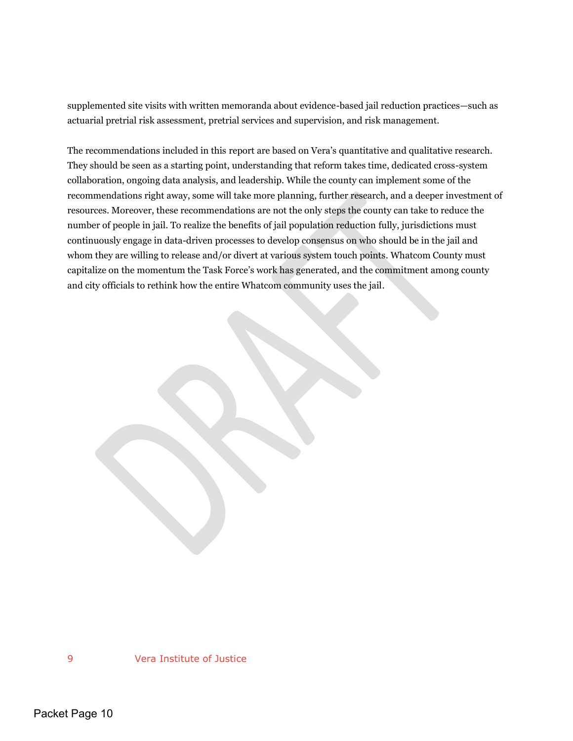supplemented site visits with written memoranda about evidence-based jail reduction practices—such as actuarial pretrial risk assessment, pretrial services and supervision, and risk management.

The recommendations included in this report are based on Vera's quantitative and qualitative research. They should be seen as a starting point, understanding that reform takes time, dedicated cross-system collaboration, ongoing data analysis, and leadership. While the county can implement some of the recommendations right away, some will take more planning, further research, and a deeper investment of resources. Moreover, these recommendations are not the only steps the county can take to reduce the number of people in jail. To realize the benefits of jail population reduction fully, jurisdictions must continuously engage in data-driven processes to develop consensus on who should be in the jail and whom they are willing to release and/or divert at various system touch points. Whatcom County must capitalize on the momentum the Task Force's work has generated, and the commitment among county and city officials to rethink how the entire Whatcom community uses the jail.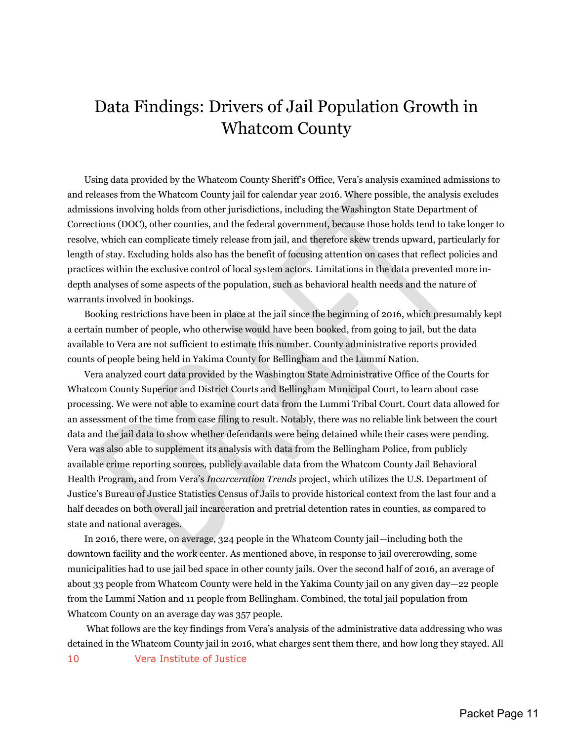## <span id="page-11-0"></span>Data Findings: Drivers of Jail Population Growth in Whatcom County

Using data provided by the Whatcom County Sheriff's Office, Vera's analysis examined admissions to and releases from the Whatcom County jail for calendar year 2016. Where possible, the analysis excludes admissions involving holds from other jurisdictions, including the Washington State Department of Corrections (DOC), other counties, and the federal government, because those holds tend to take longer to resolve, which can complicate timely release from jail, and therefore skew trends upward, particularly for length of stay. Excluding holds also has the benefit of focusing attention on cases that reflect policies and practices within the exclusive control of local system actors. Limitations in the data prevented more indepth analyses of some aspects of the population, such as behavioral health needs and the nature of warrants involved in bookings.

Booking restrictions have been in place at the jail since the beginning of 2016, which presumably kept a certain number of people, who otherwise would have been booked, from going to jail, but the data available to Vera are not sufficient to estimate this number. County administrative reports provided counts of people being held in Yakima County for Bellingham and the Lummi Nation.

Vera analyzed court data provided by the Washington State Administrative Office of the Courts for Whatcom County Superior and District Courts and Bellingham Municipal Court, to learn about case processing. We were not able to examine court data from the Lummi Tribal Court. Court data allowed for an assessment of the time from case filing to result. Notably, there was no reliable link between the court data and the jail data to show whether defendants were being detained while their cases were pending. Vera was also able to supplement its analysis with data from the Bellingham Police, from publicly available crime reporting sources, publicly available data from the Whatcom County Jail Behavioral Health Program, and from Vera's *Incarceration Trends* project, which utilizes the U.S. Department of Justice's Bureau of Justice Statistics Census of Jails to provide historical context from the last four and a half decades on both overall jail incarceration and pretrial detention rates in counties, as compared to state and national averages.

In 2016, there were, on average, 324 people in the Whatcom County jail—including both the downtown facility and the work center. As mentioned above, in response to jail overcrowding, some municipalities had to use jail bed space in other county jails. Over the second half of 2016, an average of about 33 people from Whatcom County were held in the Yakima County jail on any given day—22 people from the Lummi Nation and 11 people from Bellingham. Combined, the total jail population from Whatcom County on an average day was 357 people.

 What follows are the key findings from Vera's analysis of the administrative data addressing who was detained in the Whatcom County jail in 2016, what charges sent them there, and how long they stayed. All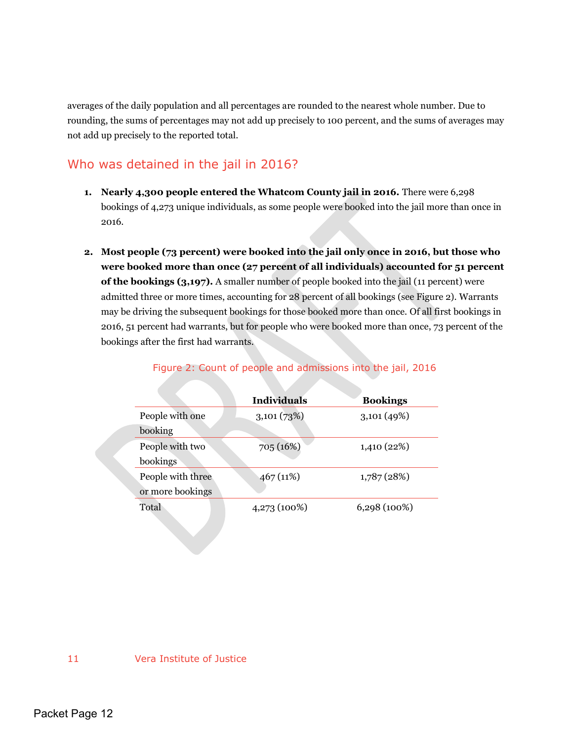averages of the daily population and all percentages are rounded to the nearest whole number. Due to rounding, the sums of percentages may not add up precisely to 100 percent, and the sums of averages may not add up precisely to the reported total.

## <span id="page-12-0"></span>Who was detained in the jail in 2016?

- **1. Nearly 4,300 people entered the Whatcom County jail in 2016.** There were 6,298 bookings of 4,273 unique individuals, as some people were booked into the jail more than once in 2016.
- **2. Most people (73 percent) were booked into the jail only once in 2016, but those who were booked more than once (27 percent of all individuals) accounted for 51 percent of the bookings (3,197).** A smaller number of people booked into the jail (11 percent) were admitted three or more times, accounting for 28 percent of all bookings (see Figure 2). Warrants may be driving the subsequent bookings for those booked more than once. Of all first bookings in 2016, 51 percent had warrants, but for people who were booked more than once, 73 percent of the bookings after the first had warrants.

|                   | <b>Individuals</b> | <b>Bookings</b> |
|-------------------|--------------------|-----------------|
| People with one   | 3,101(73%)         | 3,101(49%)      |
| booking           |                    |                 |
| People with two   | 705 (16%)          | 1,410 (22%)     |
| bookings          |                    |                 |
| People with three | 467 (11%)          | 1,787(28%)      |
| or more bookings  |                    |                 |
| Total             | 4,273 (100%)       | $6,298(100\%)$  |
|                   |                    |                 |

Figure 2: Count of people and admissions into the jail, 2016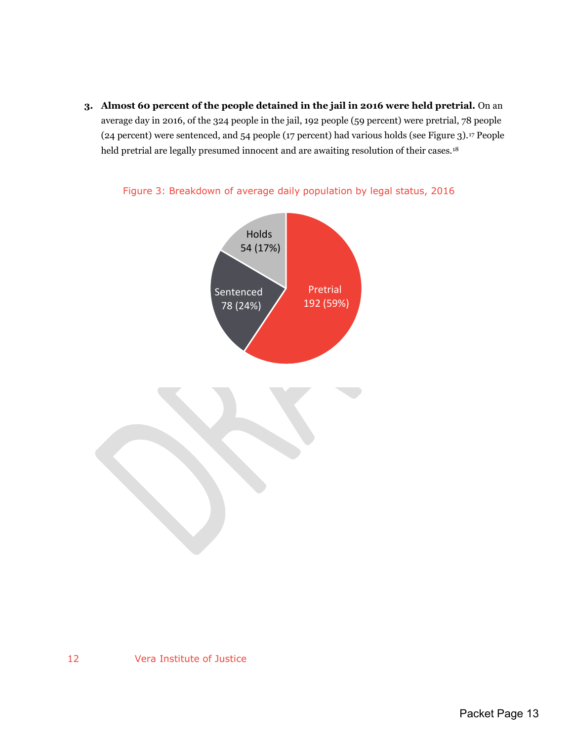**3. Almost 60 percent of the people detained in the jail in 2016 were held pretrial.** On an average day in 2016, of the 324 people in the jail, 192 people (59 percent) were pretrial, 78 people (24 percent) were sentenced, and 54 people (17 percent) had various holds (see Figure 3).17 People held pretrial are legally presumed innocent and are awaiting resolution of their cases.<sup>18</sup>



Figure 3: Breakdown of average daily population by legal status, 2016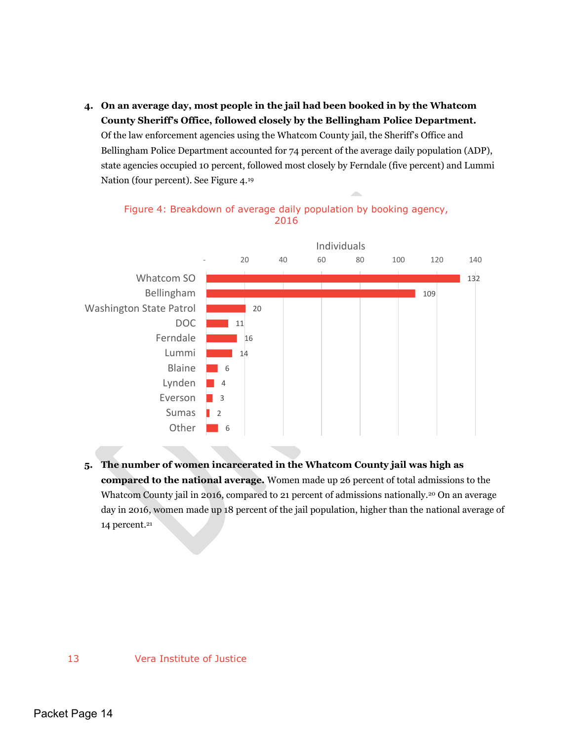**4. On an average day, most people in the jail had been booked in by the Whatcom County Sheriff's Office, followed closely by the Bellingham Police Department.**  Of the law enforcement agencies using the Whatcom County jail, the Sheriff's Office and Bellingham Police Department accounted for 74 percent of the average daily population (ADP), state agencies occupied 10 percent, followed most closely by Ferndale (five percent) and Lummi Nation (four percent). See Figure 4.<sup>19</sup>

Individuals - 20 40 60 80 100 120 140 Whatcom SO 132 Bellingham 109 Washington State Patrol 20 DOC 11 Ferndale 16 Lummi 14 Blaine 6 Lynden 4 Everson  $\blacksquare$  3 Sumas 2 Other 6 a ka

Figure 4: Breakdown of average daily population by booking agency, 2016

**5. The number of women incarcerated in the Whatcom County jail was high as compared to the national average.** Women made up 26 percent of total admissions to the Whatcom County jail in 2016, compared to 21 percent of admissions nationally.<sup>20</sup> On an average day in 2016, women made up 18 percent of the jail population, higher than the national average of 14 percent.<sup>21</sup>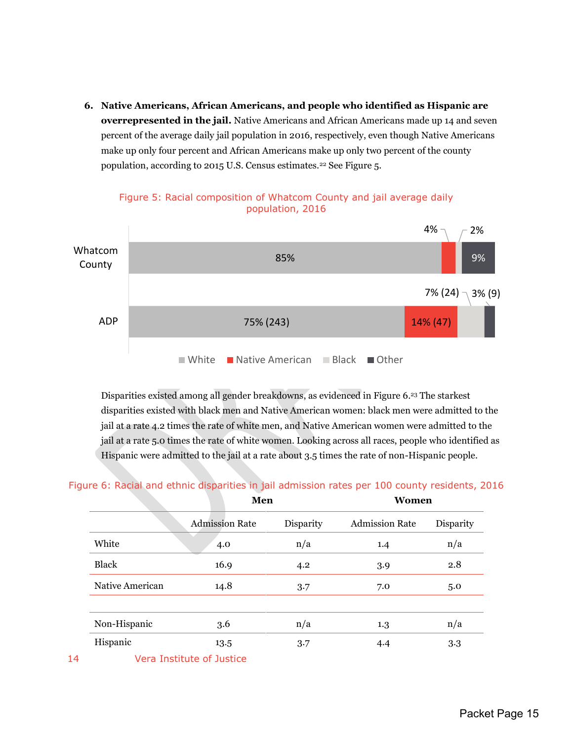**6. Native Americans, African Americans, and people who identified as Hispanic are overrepresented in the jail.** Native Americans and African Americans made up 14 and seven percent of the average daily jail population in 2016, respectively, even though Native Americans make up only four percent and African Americans make up only two percent of the county population, according to 2015 U.S. Census estimates.<sup>22</sup> See Figure 5.





Disparities existed among all gender breakdowns, as evidenced in Figure 6.23 The starkest disparities existed with black men and Native American women: black men were admitted to the jail at a rate 4.2 times the rate of white men, and Native American women were admitted to the jail at a rate 5.0 times the rate of white women. Looking across all races, people who identified as Hispanic were admitted to the jail at a rate about 3.5 times the rate of non-Hispanic people.

|                 | Men                   |           | Women                 |           |
|-----------------|-----------------------|-----------|-----------------------|-----------|
|                 | <b>Admission Rate</b> | Disparity | <b>Admission Rate</b> | Disparity |
| White           | 4.0                   | n/a       | 1.4                   | n/a       |
| <b>Black</b>    | 16.9                  | 4.2       | 3.9                   | 2.8       |
| Native American | 14.8                  | 3.7       | 7.0                   | 5.0       |
| Non-Hispanic    | 3.6                   | n/a       | 1.3                   | n/a       |
| Hispanic        | 13.5                  | 3.7       | 4.4                   | 3.3       |

Figure 6: Racial and ethnic disparities in jail admission rates per 100 county residents, 2016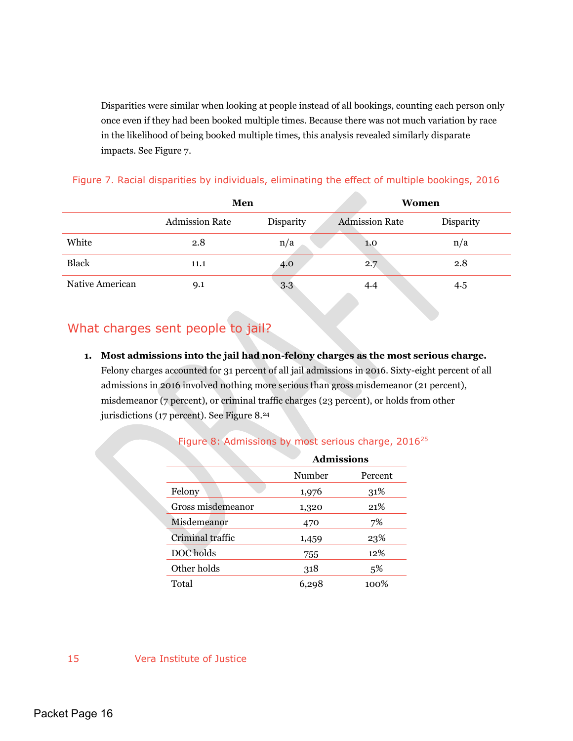Disparities were similar when looking at people instead of all bookings, counting each person only once even if they had been booked multiple times. Because there was not much variation by race in the likelihood of being booked multiple times, this analysis revealed similarly disparate impacts. See Figure 7.

|                 | Men                   |           |                                          | Women     |
|-----------------|-----------------------|-----------|------------------------------------------|-----------|
|                 | <b>Admission Rate</b> | Disparity | <b>Admission Rate</b>                    | Disparity |
| White           | 2.8                   | n/a       | 1.0                                      | n/a       |
| <b>Black</b>    | 11.1                  | 4.0       | 2.7                                      | 2.8       |
| Native American | 9.1                   | 3.3       | 4.4<br><b>Contract Contract Contract</b> | 4.5       |

## Figure 7. Racial disparities by individuals, eliminating the effect of multiple bookings, 2016

## <span id="page-16-0"></span>What charges sent people to jail?

**1. Most admissions into the jail had non-felony charges as the most serious charge.**  Felony charges accounted for 31 percent of all jail admissions in 2016. Sixty-eight percent of all admissions in 2016 involved nothing more serious than gross misdemeanor (21 percent), misdemeanor (7 percent), or criminal traffic charges (23 percent), or holds from other jurisdictions (17 percent). See Figure 8.<sup>24</sup>

#### Figure 8: Admissions by most serious charge, 2016<sup>25</sup>

|                   | <b>Admissions</b> |         |  |
|-------------------|-------------------|---------|--|
|                   | Number            | Percent |  |
| Felony            | 1,976             | 31%     |  |
| Gross misdemeanor | 1,320             | 21%     |  |
| Misdemeanor       | 470               | 7%      |  |
| Criminal traffic  | 1,459             | 23%     |  |
| DOC holds         | 755               | 12%     |  |
| Other holds       | 318               | 5%      |  |
| Total             | 6,298             | 100%    |  |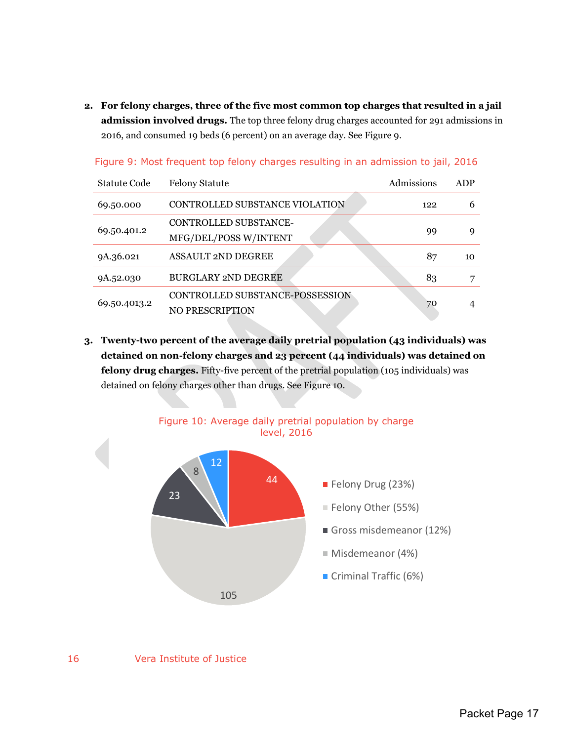**2. For felony charges, three of the five most common top charges that resulted in a jail admission involved drugs.** The top three felony drug charges accounted for 291 admissions in 2016, and consumed 19 beds (6 percent) on an average day. See Figure 9.

| <b>Statute Code</b> | <b>Felony Statute</b>                                     | Admissions | ADP |
|---------------------|-----------------------------------------------------------|------------|-----|
| 69.50.000           | CONTROLLED SUBSTANCE VIOLATION                            | 122        | 6   |
| 69.50.401.2         | CONTROLLED SUBSTANCE-<br>MFG/DEL/POSS W/INTENT            | 99         | q   |
| 9A.36.021           | <b>ASSAULT 2ND DEGREE</b>                                 | 87         | 10  |
| 9A.52.030           | <b>BURGLARY 2ND DEGREE</b>                                | 83         | 7   |
| 69.50.4013.2        | CONTROLLED SUBSTANCE-POSSESSION<br><b>NO PRESCRIPTION</b> | 70         |     |

Figure 9: Most frequent top felony charges resulting in an admission to jail, 2016

**3. Twenty-two percent of the average daily pretrial population (43 individuals) was detained on non-felony charges and 23 percent (44 individuals) was detained on felony drug charges.** Fifty-five percent of the pretrial population (105 individuals) was detained on felony charges other than drugs. See Figure 10.

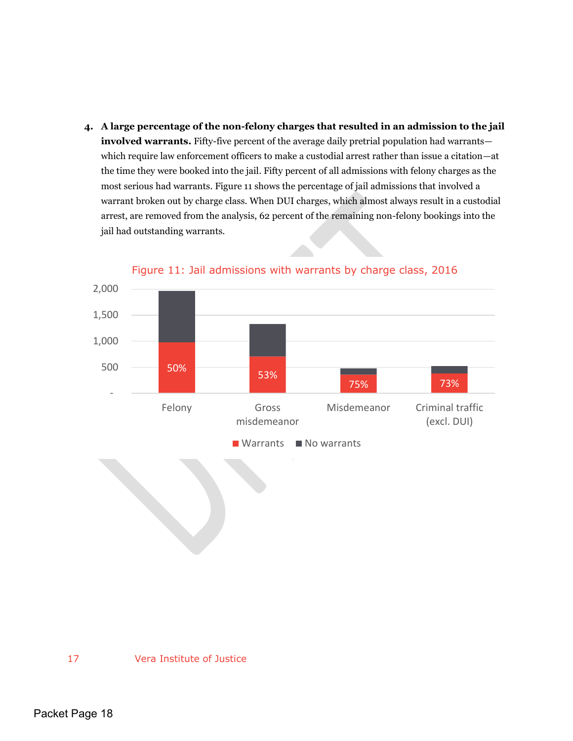**4. A large percentage of the non-felony charges that resulted in an admission to the jail involved warrants.** Fifty-five percent of the average daily pretrial population had warrants which require law enforcement officers to make a custodial arrest rather than issue a citation—at the time they were booked into the jail. Fifty percent of all admissions with felony charges as the most serious had warrants. Figure 11 shows the percentage of jail admissions that involved a warrant broken out by charge class. When DUI charges, which almost always result in a custodial arrest, are removed from the analysis, 62 percent of the remaining non-felony bookings into the jail had outstanding warrants.



Figure 11: Jail admissions with warrants by charge class, 2016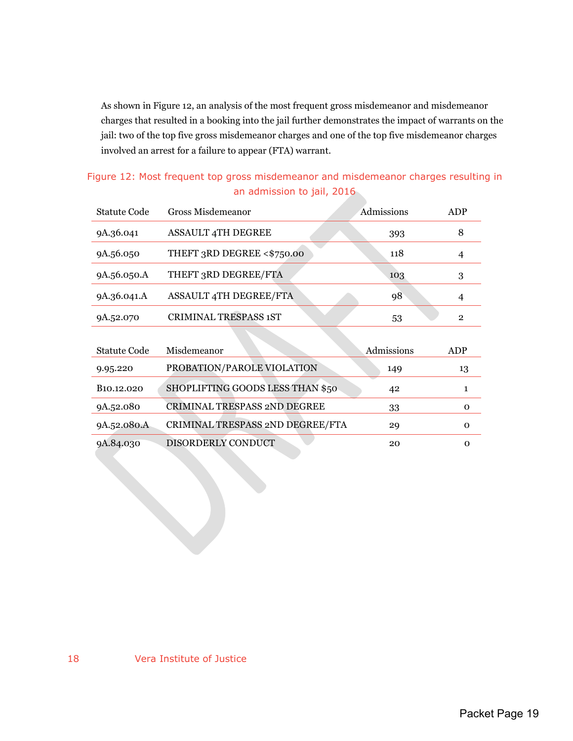As shown in Figure 12, an analysis of the most frequent gross misdemeanor and misdemeanor charges that resulted in a booking into the jail further demonstrates the impact of warrants on the jail: two of the top five gross misdemeanor charges and one of the top five misdemeanor charges involved an arrest for a failure to appear (FTA) warrant.

| Figure 12: Most frequent top gross misdemeanor and misdemeanor charges resulting in |  |
|-------------------------------------------------------------------------------------|--|
| an admission to jail, 2016                                                          |  |

| <b>Statute Code</b>     | Gross Misdemeanor                   | Admissions | ADP            |
|-------------------------|-------------------------------------|------------|----------------|
| 9A.36.041               | <b>ASSAULT 4TH DEGREE</b>           | 393        | 8              |
| 9A.56.050               | THEFT 3RD DEGREE <\$750.00          | 118        | $\overline{4}$ |
| 9A.56.050.A             | THEFT 3RD DEGREE/FTA                | 103        | 3              |
| 9A.36.041.A             | <b>ASSAULT 4TH DEGREE/FTA</b>       | 98         | 4              |
| 9A.52.070               | <b>CRIMINAL TRESPASS 1ST</b>        | 53         | $\overline{2}$ |
|                         |                                     |            |                |
| <b>Statute Code</b>     | Misdemeanor                         | Admissions | ADP            |
| 9.95.220                | PROBATION/PAROLE VIOLATION          | 149        | 13             |
| B <sub>10</sub> .12.020 | SHOPLIFTING GOODS LESS THAN \$50    | 42         | $\mathbf{1}$   |
| 9A.52.080               | <b>CRIMINAL TRESPASS 2ND DEGREE</b> | 33         | $\mathbf 0$    |
| 9A.52.080.A             | CRIMINAL TRESPASS 2ND DEGREE/FTA    | 29         | O              |
| 9A.84.030               | DISORDERLY CONDUCT                  | 20         | $\mathbf 0$    |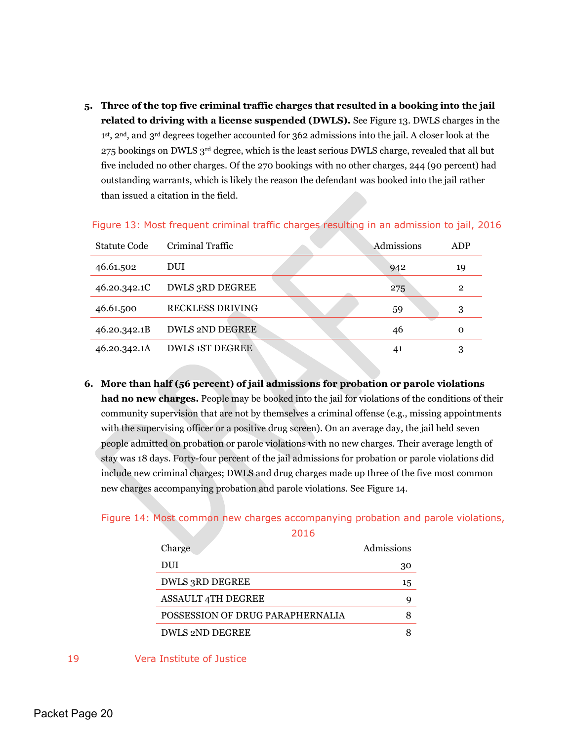**5. Three of the top five criminal traffic charges that resulted in a booking into the jail related to driving with a license suspended (DWLS).** See Figure 13. DWLS charges in the 1<sup>st</sup>, 2<sup>nd</sup>, and 3<sup>rd</sup> degrees together accounted for 362 admissions into the jail. A closer look at the 275 bookings on DWLS 3rd degree, which is the least serious DWLS charge, revealed that all but five included no other charges. Of the 270 bookings with no other charges, 244 (90 percent) had outstanding warrants, which is likely the reason the defendant was booked into the jail rather than issued a citation in the field.

| Statute Code | Criminal Traffic        | Admissions | <b>ADP</b>     |
|--------------|-------------------------|------------|----------------|
| 46.61.502    | DUI                     | 942        | 19             |
| 46.20.342.1C | <b>DWLS 3RD DEGREE</b>  | 275        | $\overline{2}$ |
| 46.61.500    | <b>RECKLESS DRIVING</b> | 59         | 3              |
| 46.20.342.1B | <b>DWLS 2ND DEGREE</b>  | 46         | Ω              |
| 46.20.342.1A | <b>DWLS 1ST DEGREE</b>  | 41         | 3              |

Figure 13: Most frequent criminal traffic charges resulting in an admission to jail, 2016

**6. More than half (56 percent) of jail admissions for probation or parole violations had no new charges.** People may be booked into the jail for violations of the conditions of their community supervision that are not by themselves a criminal offense (e.g., missing appointments with the supervising officer or a positive drug screen). On an average day, the jail held seven people admitted on probation or parole violations with no new charges. Their average length of stay was 18 days. Forty-four percent of the jail admissions for probation or parole violations did include new criminal charges; DWLS and drug charges made up three of the five most common new charges accompanying probation and parole violations. See Figure 14.

## Figure 14: Most common new charges accompanying probation and parole violations,

2016

| Charge                           | Admissions |
|----------------------------------|------------|
| DUI                              | 30         |
| DWLS 3RD DEGREE                  | 15         |
| <b>ASSAULT 4TH DEGREE</b>        | g          |
| POSSESSION OF DRUG PARAPHERNALIA | 8          |
| <b>DWLS 2ND DEGREE</b>           |            |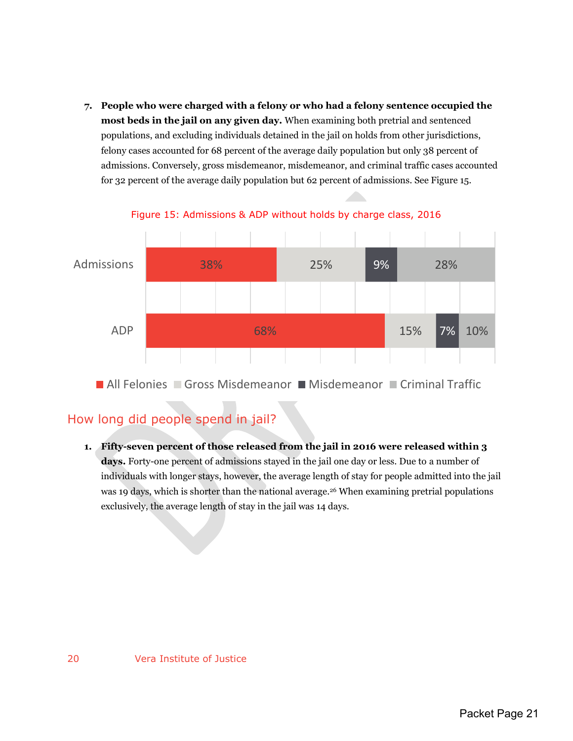**7. People who were charged with a felony or who had a felony sentence occupied the most beds in the jail on any given day.** When examining both pretrial and sentenced populations, and excluding individuals detained in the jail on holds from other jurisdictions, felony cases accounted for 68 percent of the average daily population but only 38 percent of admissions. Conversely, gross misdemeanor, misdemeanor, and criminal traffic cases accounted for 32 percent of the average daily population but 62 percent of admissions. See Figure 15.



Figure 15: Admissions & ADP without holds by charge class, 2016

**All Felonies Gross Misdemeanor Misdemeanor Criminal Traffic** 

## <span id="page-21-0"></span>How long did people spend in jail?

**1. Fifty-seven percent of those released from the jail in 2016 were released within 3 days.** Forty-one percent of admissions stayed in the jail one day or less. Due to a number of individuals with longer stays, however, the average length of stay for people admitted into the jail was 19 days, which is shorter than the national average.<sup>26</sup> When examining pretrial populations exclusively, the average length of stay in the jail was 14 days.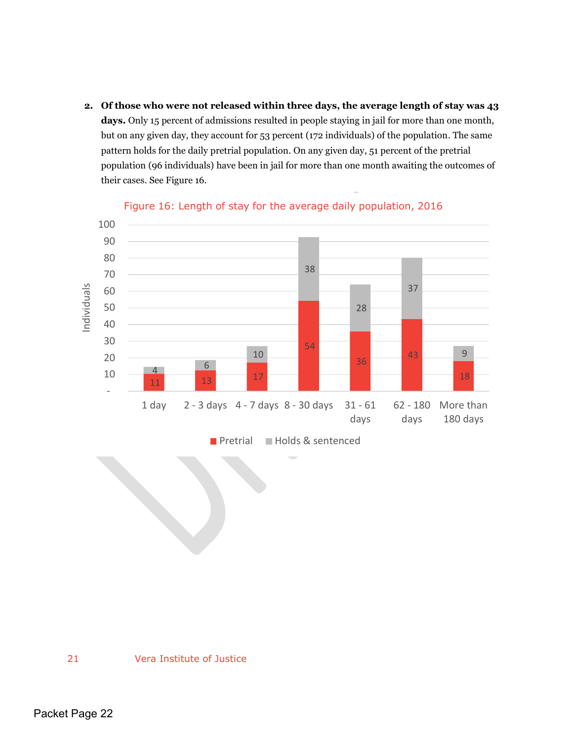**2. Of those who were not released within three days, the average length of stay was 43 days.** Only 15 percent of admissions resulted in people staying in jail for more than one month, but on any given day, they account for 53 percent (172 individuals) of the population. The same pattern holds for the daily pretrial population. On any given day, 51 percent of the pretrial population (96 individuals) have been in jail for more than one month awaiting the outcomes of their cases. See Figure 16.



### Figure 16: Length of stay for the average daily population, 2016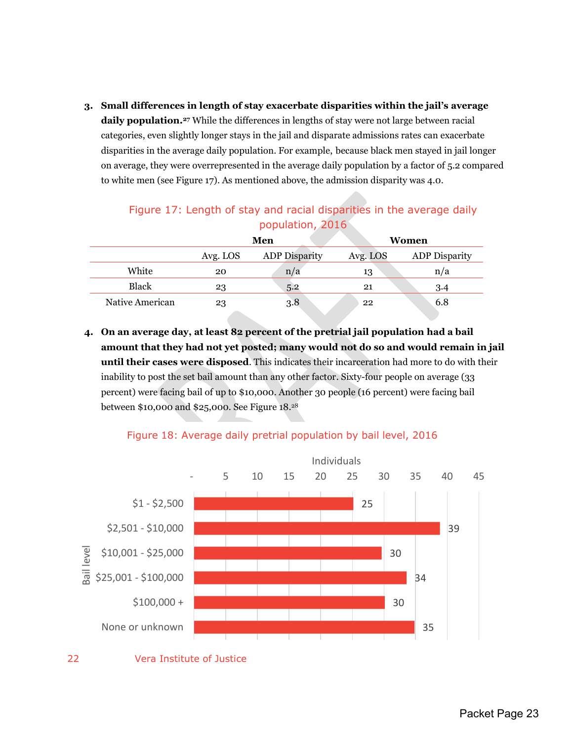**3. Small differences in length of stay exacerbate disparities within the jail's average daily population.27** While the differences in lengths of stay were not large between racial categories, even slightly longer stays in the jail and disparate admissions rates can exacerbate disparities in the average daily population. For example, because black men stayed in jail longer on average, they were overrepresented in the average daily population by a factor of 5.2 compared to white men (see Figure 17). As mentioned above, the admission disparity was 4.0.

| ----------------- |                                                  |                      |          |                      |  |
|-------------------|--------------------------------------------------|----------------------|----------|----------------------|--|
|                   | Men                                              |                      | Women    |                      |  |
|                   | Avg. LOS                                         | <b>ADP</b> Disparity | Avg. LOS | <b>ADP</b> Disparity |  |
| White             | 20                                               | n/a                  | 13       | n/a                  |  |
| <b>Black</b>      | 23                                               | 5.2                  | 21       | 3.4                  |  |
| Native American   | 23<br><b>Contract Contract Contract Contract</b> | 3.8                  | 22       | 6.8                  |  |

## Figure 17: Length of stay and racial disparities in the average daily population, 2016

**4. On an average day, at least 82 percent of the pretrial jail population had a bail amount that they had not yet posted; many would not do so and would remain in jail until their cases were disposed**. This indicates their incarceration had more to do with their inability to post the set bail amount than any other factor. Sixty-four people on average (33 percent) were facing bail of up to \$10,000. Another 30 people (16 percent) were facing bail between \$10,000 and \$25,000. See Figure 18.<sup>28</sup>



## Figure 18: Average daily pretrial population by bail level, 2016

<sup>22</sup> Vera Institute of Justice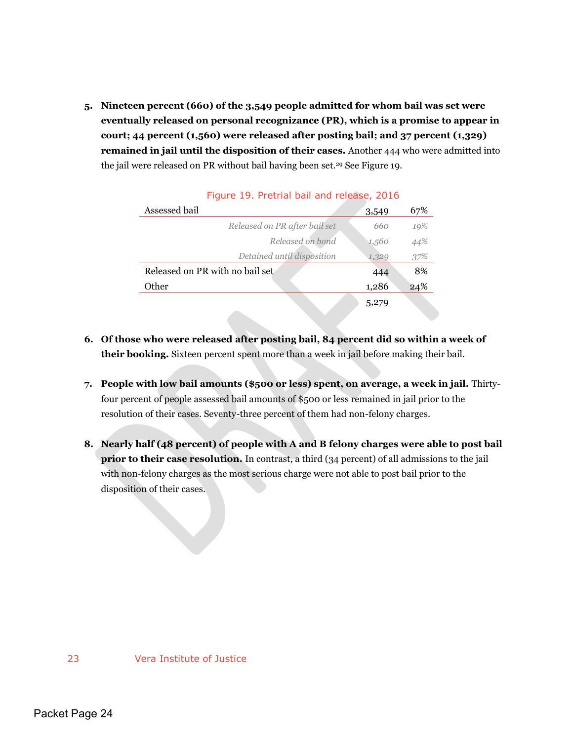**5. Nineteen percent (660) of the 3,549 people admitted for whom bail was set were eventually released on personal recognizance (PR), which is a promise to appear in court; 44 percent (1,560) were released after posting bail; and 37 percent (1,329) remained in jail until the disposition of their cases.** Another 444 who were admitted into the jail were released on PR without bail having been set.29 See Figure 19.

| Assessed bail                   | 3,549 | 67% |
|---------------------------------|-------|-----|
| Released on PR after bail set   | 660   | 19% |
| Released on bond                | 1,560 | 44% |
| Detained until disposition      | 1,329 | 37% |
| Released on PR with no bail set | 444   | 8%  |
| Other                           | 1,286 | 24% |
|                                 | 5,279 |     |

### Figure 19. Pretrial bail and release, 2016

- **6. Of those who were released after posting bail, 84 percent did so within a week of their booking.** Sixteen percent spent more than a week in jail before making their bail.
- **7. People with low bail amounts (\$500 or less) spent, on average, a week in jail.** Thirtyfour percent of people assessed bail amounts of \$500 or less remained in jail prior to the resolution of their cases. Seventy-three percent of them had non-felony charges.
- **8. Nearly half (48 percent) of people with A and B felony charges were able to post bail prior to their case resolution.** In contrast, a third (34 percent) of all admissions to the jail with non-felony charges as the most serious charge were not able to post bail prior to the disposition of their cases.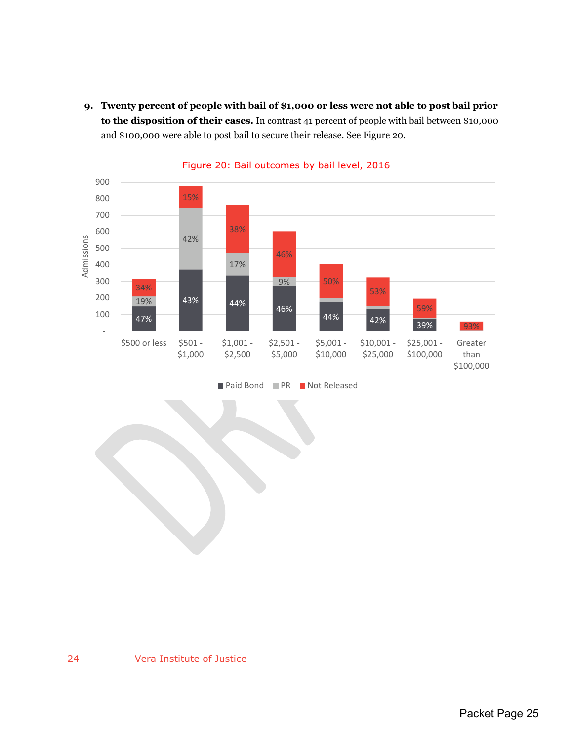**9. Twenty percent of people with bail of \$1,000 or less were not able to post bail prior to the disposition of their cases.** In contrast 41 percent of people with bail between \$10,000 and \$100,000 were able to post bail to secure their release. See Figure 20.



Figure 20: Bail outcomes by bail level, 2016

■ Paid Bond ■ PR ■ Not Released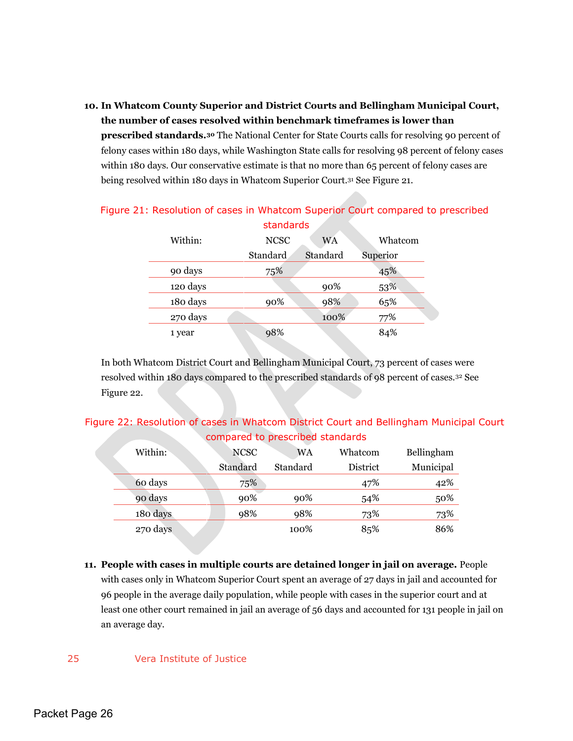## **10. In Whatcom County Superior and District Courts and Bellingham Municipal Court, the number of cases resolved within benchmark timeframes is lower than**

**prescribed standards.30** The National Center for State Courts calls for resolving 90 percent of felony cases within 180 days, while Washington State calls for resolving 98 percent of felony cases within 180 days. Our conservative estimate is that no more than 65 percent of felony cases are being resolved within 180 days in Whatcom Superior Court.31 See Figure 21.

| standards |             |           |          |  |  |  |
|-----------|-------------|-----------|----------|--|--|--|
| Within:   | <b>NCSC</b> | <b>WA</b> | Whatcom  |  |  |  |
|           | Standard    | Standard  | Superior |  |  |  |
| 90 days   | 75%         |           | 45%      |  |  |  |
| 120 days  |             | 90%       | 53%      |  |  |  |
| 180 days  | 90%         | 98%       | 65%      |  |  |  |
| 270 days  |             | 100%      | 77%      |  |  |  |
| 1 year    | 98%         |           | 84%      |  |  |  |

## Figure 21: Resolution of cases in Whatcom Superior Court compared to prescribed

In both Whatcom District Court and Bellingham Municipal Court, 73 percent of cases were resolved within 180 days compared to the prescribed standards of 98 percent of cases.32 See Figure 22.

## Figure 22: Resolution of cases in Whatcom District Court and Bellingham Municipal Court compared to prescribed standards

| Within:  | <b>NCSC</b> | <b>WA</b> | Whatcom  | Bellingham |
|----------|-------------|-----------|----------|------------|
|          | Standard    | Standard  | District | Municipal  |
| 60 days  | 75%         |           | 47%      | 42%        |
| 90 days  | 90%         | 90%       | 54%      | 50%        |
| 180 days | 98%         | 98%       | 73%      | 73%        |
| 270 days |             | 100%      | 85%      | 86%        |

**11. People with cases in multiple courts are detained longer in jail on average.** People with cases only in Whatcom Superior Court spent an average of 27 days in jail and accounted for 96 people in the average daily population, while people with cases in the superior court and at least one other court remained in jail an average of 56 days and accounted for 131 people in jail on an average day.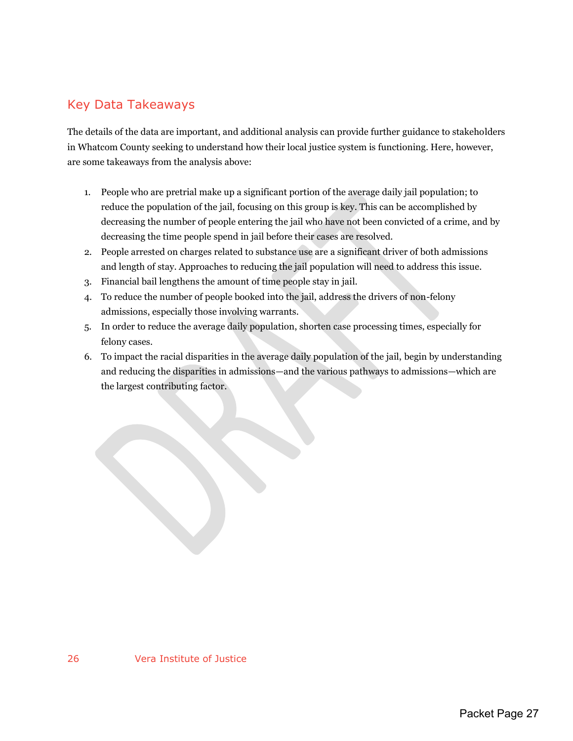## <span id="page-27-0"></span>Key Data Takeaways

The details of the data are important, and additional analysis can provide further guidance to stakeholders in Whatcom County seeking to understand how their local justice system is functioning. Here, however, are some takeaways from the analysis above:

- 1. People who are pretrial make up a significant portion of the average daily jail population; to reduce the population of the jail, focusing on this group is key. This can be accomplished by decreasing the number of people entering the jail who have not been convicted of a crime, and by decreasing the time people spend in jail before their cases are resolved.
- 2. People arrested on charges related to substance use are a significant driver of both admissions and length of stay. Approaches to reducing the jail population will need to address this issue.
- 3. Financial bail lengthens the amount of time people stay in jail.
- 4. To reduce the number of people booked into the jail, address the drivers of non-felony admissions, especially those involving warrants.
- 5. In order to reduce the average daily population, shorten case processing times, especially for felony cases.
- 6. To impact the racial disparities in the average daily population of the jail, begin by understanding and reducing the disparities in admissions—and the various pathways to admissions—which are the largest contributing factor.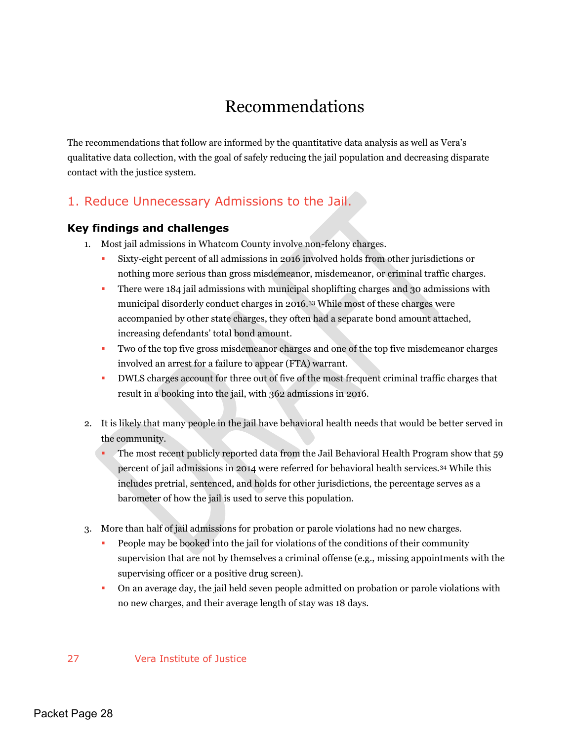## Recommendations

<span id="page-28-0"></span>The recommendations that follow are informed by the quantitative data analysis as well as Vera's qualitative data collection, with the goal of safely reducing the jail population and decreasing disparate contact with the justice system.

## <span id="page-28-1"></span>1. Reduce Unnecessary Admissions to the Jail.

## <span id="page-28-2"></span>**Key findings and challenges**

- 1. Most jail admissions in Whatcom County involve non-felony charges.
	- Sixty-eight percent of all admissions in 2016 involved holds from other jurisdictions or nothing more serious than gross misdemeanor, misdemeanor, or criminal traffic charges.
	- **There were 184 jail admissions with municipal shoplifting charges and 30 admissions with** municipal disorderly conduct charges in 2016.33 While most of these charges were accompanied by other state charges, they often had a separate bond amount attached, increasing defendants' total bond amount.
	- Two of the top five gross misdemeanor charges and one of the top five misdemeanor charges involved an arrest for a failure to appear (FTA) warrant.
	- DWLS charges account for three out of five of the most frequent criminal traffic charges that result in a booking into the jail, with 362 admissions in 2016.
- 2. It is likely that many people in the jail have behavioral health needs that would be better served in the community.
	- The most recent publicly reported data from the Jail Behavioral Health Program show that 59 percent of jail admissions in 2014 were referred for behavioral health services.34 While this includes pretrial, sentenced, and holds for other jurisdictions, the percentage serves as a barometer of how the jail is used to serve this population.
- 3. More than half of jail admissions for probation or parole violations had no new charges.
	- People may be booked into the jail for violations of the conditions of their community supervision that are not by themselves a criminal offense (e.g., missing appointments with the supervising officer or a positive drug screen).
	- On an average day, the jail held seven people admitted on probation or parole violations with no new charges, and their average length of stay was 18 days.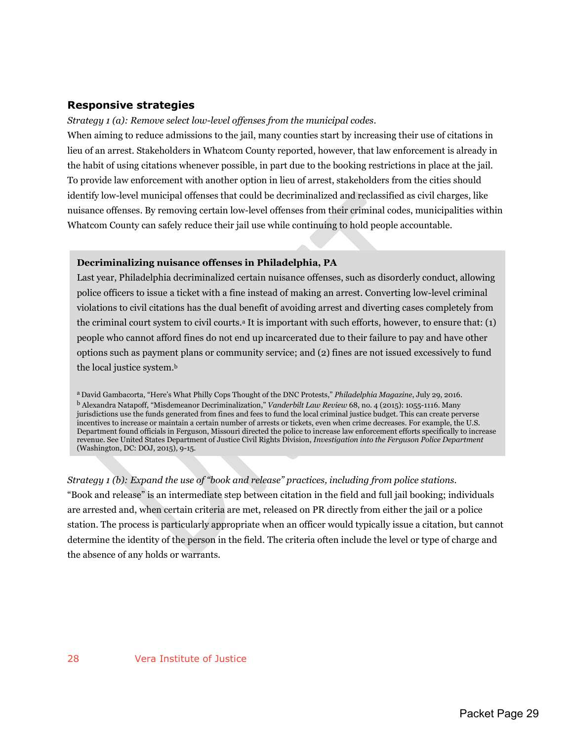### <span id="page-29-0"></span>**Responsive strategies**

#### *Strategy 1 (a): Remove select low-level offenses from the municipal codes*.

When aiming to reduce admissions to the jail, many counties start by increasing their use of citations in lieu of an arrest. Stakeholders in Whatcom County reported, however, that law enforcement is already in the habit of using citations whenever possible, in part due to the booking restrictions in place at the jail. To provide law enforcement with another option in lieu of arrest, stakeholders from the cities should identify low-level municipal offenses that could be decriminalized and reclassified as civil charges, like nuisance offenses. By removing certain low-level offenses from their criminal codes, municipalities within Whatcom County can safely reduce their jail use while continuing to hold people accountable.

#### **Decriminalizing nuisance offenses in Philadelphia, PA**

Last year, Philadelphia decriminalized certain nuisance offenses, such as disorderly conduct, allowing police officers to issue a ticket with a fine instead of making an arrest. Converting low-level criminal violations to civil citations has the dual benefit of avoiding arrest and diverting cases completely from the criminal court system to civil courts.<sup>a</sup> It is important with such efforts, however, to ensure that: (1) people who cannot afford fines do not end up incarcerated due to their failure to pay and have other options such as payment plans or community service; and (2) fines are not issued excessively to fund the local justice system.<sup>b</sup>

a David Gambacorta, "Here's What Philly Cops Thought of the DNC Protests," *Philadelphia Magazine*, July 29, 2016. <sup>b</sup> Alexandra Natapoff, "Misdemeanor Decriminalization," *Vanderbilt Law Review* 68, no. 4 (2015): 1055-1116. Many jurisdictions use the funds generated from fines and fees to fund the local criminal justice budget. This can create perverse incentives to increase or maintain a certain number of arrests or tickets, even when crime decreases. For example, the U.S. Department found officials in Ferguson, Missouri directed the police to increase law enforcement efforts specifically to increase revenue. See United States Department of Justice Civil Rights Division, *Investigation into the Ferguson Police Department* (Washington, DC: DOJ, 2015), 9-15.

*Strategy 1 (b): Expand the use of "book and release" practices, including from police stations.* "Book and release" is an intermediate step between citation in the field and full jail booking; individuals are arrested and, when certain criteria are met, released on PR directly from either the jail or a police station. The process is particularly appropriate when an officer would typically issue a citation, but cannot determine the identity of the person in the field. The criteria often include the level or type of charge and the absence of any holds or warrants.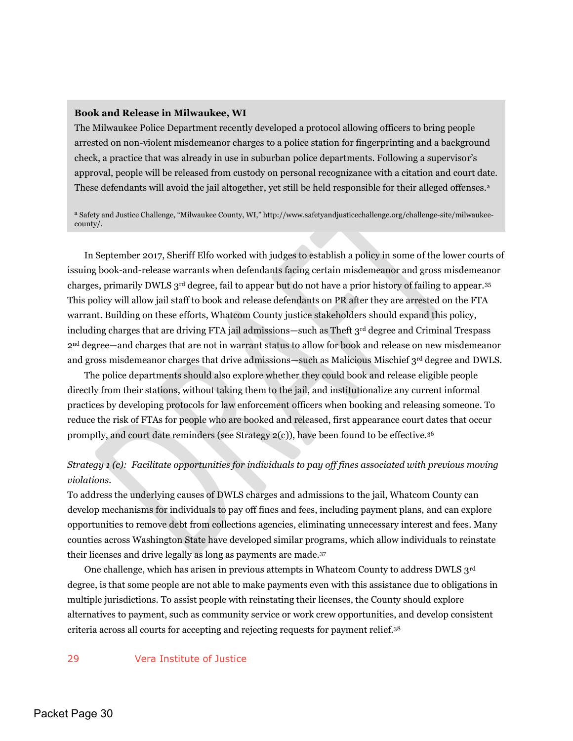#### **Book and Release in Milwaukee, WI**

The Milwaukee Police Department recently developed a protocol allowing officers to bring people arrested on non-violent misdemeanor charges to a police station for fingerprinting and a background check, a practice that was already in use in suburban police departments. Following a supervisor's approval, people will be released from custody on personal recognizance with a citation and court date. These defendants will avoid the jail altogether, yet still be held responsible for their alleged offenses.<sup>a</sup>

<sup>a</sup> Safety and Justice Challenge, "Milwaukee County, WI," http://www.safetyandjusticechallenge.org/challenge-site/milwaukeecounty/.

In September 2017, Sheriff Elfo worked with judges to establish a policy in some of the lower courts of issuing book-and-release warrants when defendants facing certain misdemeanor and gross misdemeanor charges, primarily DWLS  $3^{rd}$  degree, fail to appear but do not have a prior history of failing to appear.<sup>35</sup> This policy will allow jail staff to book and release defendants on PR after they are arrested on the FTA warrant. Building on these efforts, Whatcom County justice stakeholders should expand this policy, including charges that are driving FTA jail admissions—such as Theft 3rd degree and Criminal Trespass 2nd degree—and charges that are not in warrant status to allow for book and release on new misdemeanor and gross misdemeanor charges that drive admissions—such as Malicious Mischief 3rd degree and DWLS.

The police departments should also explore whether they could book and release eligible people directly from their stations, without taking them to the jail, and institutionalize any current informal practices by developing protocols for law enforcement officers when booking and releasing someone. To reduce the risk of FTAs for people who are booked and released, first appearance court dates that occur promptly, and court date reminders (see Strategy 2(c)), have been found to be effective.<sup>36</sup>

## *Strategy 1 (c): Facilitate opportunities for individuals to pay off fines associated with previous moving violations.*

To address the underlying causes of DWLS charges and admissions to the jail, Whatcom County can develop mechanisms for individuals to pay off fines and fees, including payment plans, and can explore opportunities to remove debt from collections agencies, eliminating unnecessary interest and fees. Many counties across Washington State have developed similar programs, which allow individuals to reinstate their licenses and drive legally as long as payments are made.<sup>37</sup>

One challenge, which has arisen in previous attempts in Whatcom County to address DWLS 3rd degree, is that some people are not able to make payments even with this assistance due to obligations in multiple jurisdictions. To assist people with reinstating their licenses, the County should explore alternatives to payment, such as community service or work crew opportunities, and develop consistent criteria across all courts for accepting and rejecting requests for payment relief.<sup>38</sup>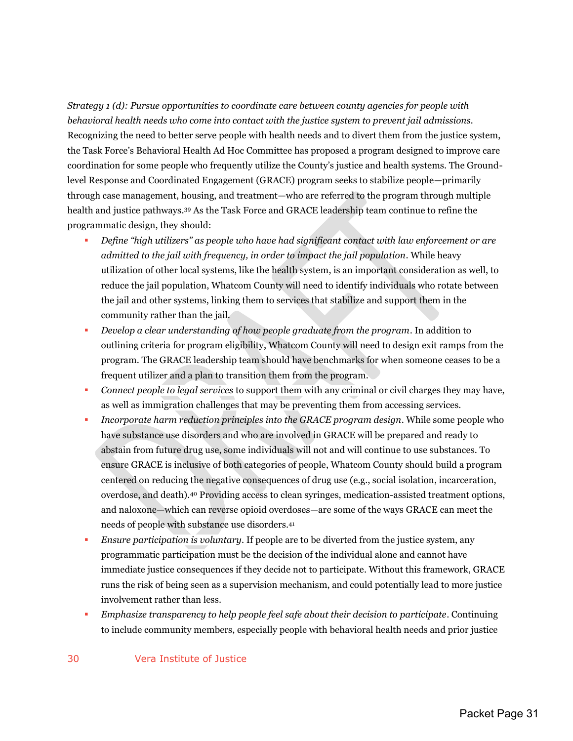*Strategy 1 (d): Pursue opportunities to coordinate care between county agencies for people with behavioral health needs who come into contact with the justice system to prevent jail admissions.*  Recognizing the need to better serve people with health needs and to divert them from the justice system, the Task Force's Behavioral Health Ad Hoc Committee has proposed a program designed to improve care coordination for some people who frequently utilize the County's justice and health systems. The Groundlevel Response and Coordinated Engagement (GRACE) program seeks to stabilize people—primarily through case management, housing, and treatment—who are referred to the program through multiple health and justice pathways.39 As the Task Force and GRACE leadership team continue to refine the programmatic design, they should:

- *Define "high utilizers" as people who have had significant contact with law enforcement or are admitted to the jail with frequency, in order to impact the jail population*. While heavy utilization of other local systems, like the health system, is an important consideration as well, to reduce the jail population, Whatcom County will need to identify individuals who rotate between the jail and other systems, linking them to services that stabilize and support them in the community rather than the jail.
- *Develop a clear understanding of how people graduate from the program*. In addition to outlining criteria for program eligibility, Whatcom County will need to design exit ramps from the program. The GRACE leadership team should have benchmarks for when someone ceases to be a frequent utilizer and a plan to transition them from the program.
- *Connect people to legal services* to support them with any criminal or civil charges they may have, as well as immigration challenges that may be preventing them from accessing services.
- **IDED** Incorporate harm reduction principles into the GRACE program design. While some people who have substance use disorders and who are involved in GRACE will be prepared and ready to abstain from future drug use, some individuals will not and will continue to use substances. To ensure GRACE is inclusive of both categories of people, Whatcom County should build a program centered on reducing the negative consequences of drug use (e.g., social isolation, incarceration, overdose, and death).40 Providing access to clean syringes, medication-assisted treatment options, and naloxone—which can reverse opioid overdoses—are some of the ways GRACE can meet the needs of people with substance use disorders.<sup>41</sup>
- *Ensure participation is voluntary*. If people are to be diverted from the justice system, any programmatic participation must be the decision of the individual alone and cannot have immediate justice consequences if they decide not to participate. Without this framework, GRACE runs the risk of being seen as a supervision mechanism, and could potentially lead to more justice involvement rather than less.
- *Emphasize transparency to help people feel safe about their decision to participate*. Continuing to include community members, especially people with behavioral health needs and prior justice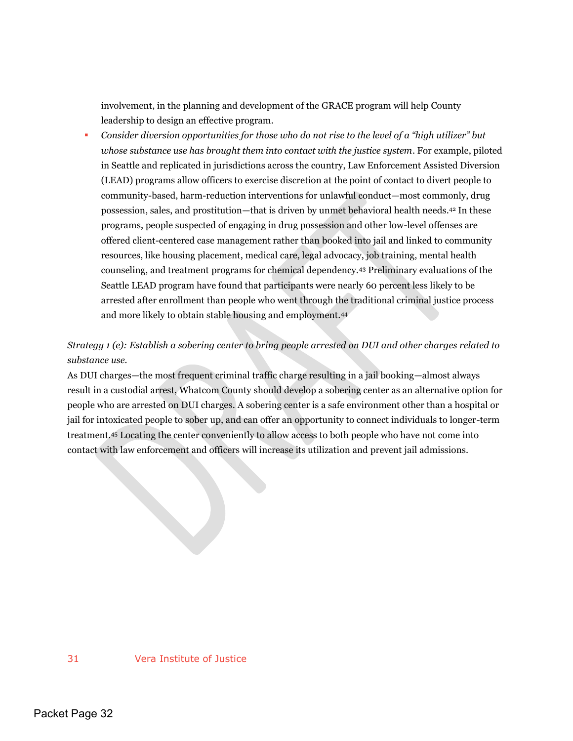involvement, in the planning and development of the GRACE program will help County leadership to design an effective program.

 *Consider diversion opportunities for those who do not rise to the level of a "high utilizer" but whose substance use has brought them into contact with the justice system*. For example, piloted in Seattle and replicated in jurisdictions across the country, Law Enforcement Assisted Diversion (LEAD) programs allow officers to exercise discretion at the point of contact to divert people to community-based, harm-reduction interventions for unlawful conduct—most commonly, drug possession, sales, and prostitution—that is driven by unmet behavioral health needs.42 In these programs, people suspected of engaging in drug possession and other low-level offenses are offered client-centered case management rather than booked into jail and linked to community resources, like housing placement, medical care, legal advocacy, job training, mental health counseling, and treatment programs for chemical dependency.43 Preliminary evaluations of the Seattle LEAD program have found that participants were nearly 60 percent less likely to be arrested after enrollment than people who went through the traditional criminal justice process and more likely to obtain stable housing and employment.<sup>44</sup>

## *Strategy 1 (e): Establish a sobering center to bring people arrested on DUI and other charges related to substance use.*

As DUI charges—the most frequent criminal traffic charge resulting in a jail booking—almost always result in a custodial arrest, Whatcom County should develop a sobering center as an alternative option for people who are arrested on DUI charges. A sobering center is a safe environment other than a hospital or jail for intoxicated people to sober up, and can offer an opportunity to connect individuals to longer-term treatment.45 Locating the center conveniently to allow access to both people who have not come into contact with law enforcement and officers will increase its utilization and prevent jail admissions.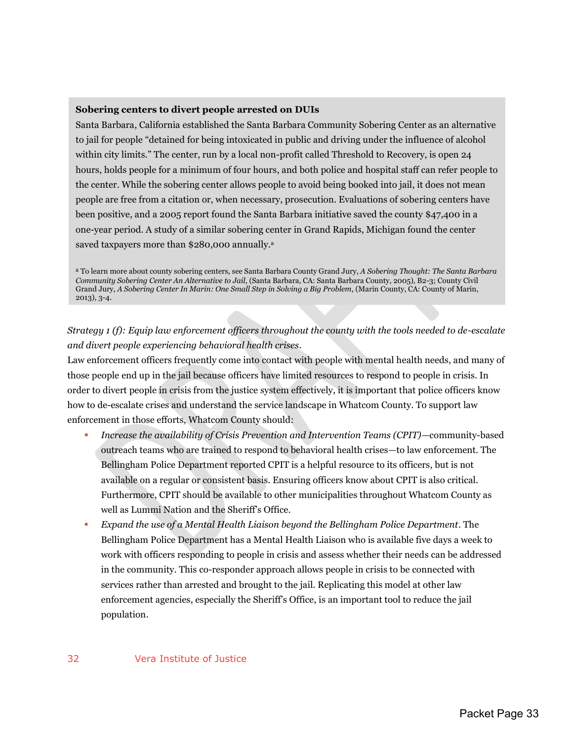#### **Sobering centers to divert people arrested on DUIs**

Santa Barbara, California established the Santa Barbara Community Sobering Center as an alternative to jail for people "detained for being intoxicated in public and driving under the influence of alcohol within city limits." The center, run by a local non-profit called Threshold to Recovery, is open 24 hours, holds people for a minimum of four hours, and both police and hospital staff can refer people to the center. While the sobering center allows people to avoid being booked into jail, it does not mean people are free from a citation or, when necessary, prosecution. Evaluations of sobering centers have been positive, and a 2005 report found the Santa Barbara initiative saved the county \$47,400 in a one-year period. A study of a similar sobering center in Grand Rapids, Michigan found the center saved taxpayers more than \$280,000 annually.<sup>a</sup>

<sup>a</sup> To learn more about county sobering centers, see Santa Barbara County Grand Jury, *A Sobering Thought: The Santa Barbara Community Sobering Center An Alternative to Jail*, (Santa Barbara, CA: Santa Barbara County, 2005), B2-3; County Civil Grand Jury, *A Sobering Center In Marin: One Small Step in Solving a Big Problem*, (Marin County, CA: County of Marin, 2013), 3-4.

## *Strategy 1 (f): Equip law enforcement officers throughout the county with the tools needed to de-escalate and divert people experiencing behavioral health crises*.

Law enforcement officers frequently come into contact with people with mental health needs, and many of those people end up in the jail because officers have limited resources to respond to people in crisis. In order to divert people in crisis from the justice system effectively, it is important that police officers know how to de-escalate crises and understand the service landscape in Whatcom County. To support law enforcement in those efforts, Whatcom County should:

- *Increase the availability of Crisis Prevention and Intervention Teams (CPIT)—*community-based outreach teams who are trained to respond to behavioral health crises—to law enforcement. The Bellingham Police Department reported CPIT is a helpful resource to its officers, but is not available on a regular or consistent basis. Ensuring officers know about CPIT is also critical. Furthermore, CPIT should be available to other municipalities throughout Whatcom County as well as Lummi Nation and the Sheriff's Office.
- *Expand the use of a Mental Health Liaison beyond the Bellingham Police Department*. The Bellingham Police Department has a Mental Health Liaison who is available five days a week to work with officers responding to people in crisis and assess whether their needs can be addressed in the community. This co-responder approach allows people in crisis to be connected with services rather than arrested and brought to the jail. Replicating this model at other law enforcement agencies, especially the Sheriff's Office, is an important tool to reduce the jail population.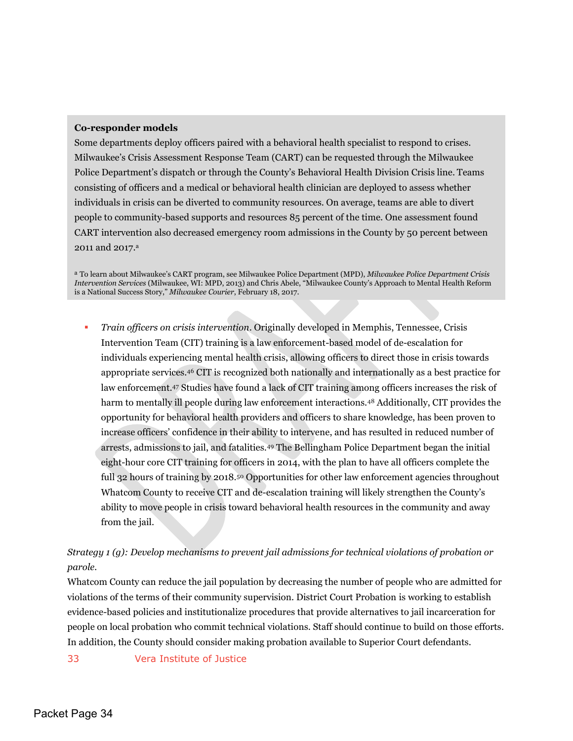#### **Co-responder models**

Some departments deploy officers paired with a behavioral health specialist to respond to crises. Milwaukee's Crisis Assessment Response Team (CART) can be requested through the Milwaukee Police Department's dispatch or through the County's Behavioral Health Division Crisis line. Teams consisting of officers and a medical or behavioral health clinician are deployed to assess whether individuals in crisis can be diverted to community resources. On average, teams are able to divert people to community-based supports and resources 85 percent of the time. One assessment found CART intervention also decreased emergency room admissions in the County by 50 percent between 2011 and 2017. a

<sup>a</sup> To learn about Milwaukee's CART program, see Milwaukee Police Department (MPD), *Milwaukee Police Department Crisis Intervention Services* (Milwaukee, WI: MPD, 2013) and Chris Abele, "Milwaukee County's Approach to Mental Health Reform is a National Success Story," *Milwaukee Courier*, February 18, 2017.

 *Train officers on crisis intervention*. Originally developed in Memphis, Tennessee, Crisis Intervention Team (CIT) training is a law enforcement-based model of de-escalation for individuals experiencing mental health crisis, allowing officers to direct those in crisis towards appropriate services.46 CIT is recognized both nationally and internationally as a best practice for law enforcement.47 Studies have found a lack of CIT training among officers increases the risk of harm to mentally ill people during law enforcement interactions.<sup>48</sup> Additionally, CIT provides the opportunity for behavioral health providers and officers to share knowledge, has been proven to increase officers' confidence in their ability to intervene, and has resulted in reduced number of arrests, admissions to jail, and fatalities.49 The Bellingham Police Department began the initial eight-hour core CIT training for officers in 2014, with the plan to have all officers complete the full 32 hours of training by 2018.<sup>50</sup> Opportunities for other law enforcement agencies throughout Whatcom County to receive CIT and de-escalation training will likely strengthen the County's ability to move people in crisis toward behavioral health resources in the community and away from the jail.

## *Strategy 1 (g): Develop mechanisms to prevent jail admissions for technical violations of probation or parole.*

Whatcom County can reduce the jail population by decreasing the number of people who are admitted for violations of the terms of their community supervision. District Court Probation is working to establish evidence-based policies and institutionalize procedures that provide alternatives to jail incarceration for people on local probation who commit technical violations. Staff should continue to build on those efforts. In addition, the County should consider making probation available to Superior Court defendants.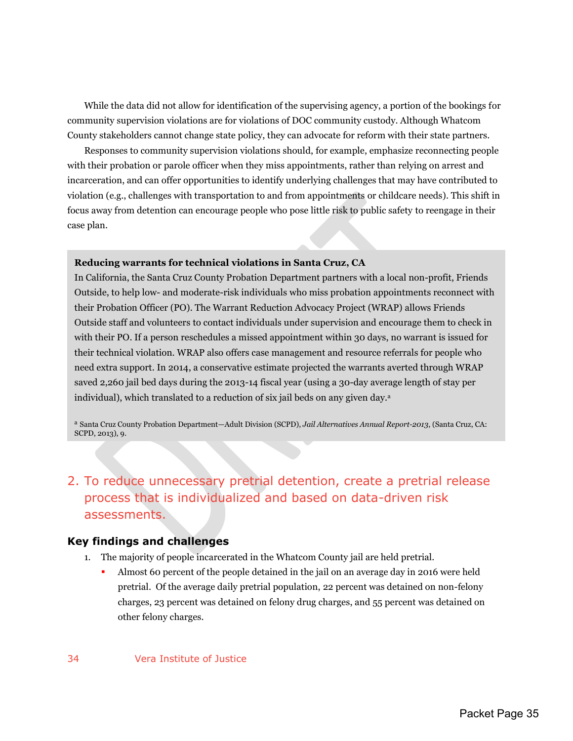While the data did not allow for identification of the supervising agency, a portion of the bookings for community supervision violations are for violations of DOC community custody. Although Whatcom County stakeholders cannot change state policy, they can advocate for reform with their state partners.

Responses to community supervision violations should, for example, emphasize reconnecting people with their probation or parole officer when they miss appointments, rather than relying on arrest and incarceration, and can offer opportunities to identify underlying challenges that may have contributed to violation (e.g., challenges with transportation to and from appointments or childcare needs). This shift in focus away from detention can encourage people who pose little risk to public safety to reengage in their case plan.

#### **Reducing warrants for technical violations in Santa Cruz, CA**

In California, the Santa Cruz County Probation Department partners with a local non-profit, Friends Outside, to help low- and moderate-risk individuals who miss probation appointments reconnect with their Probation Officer (PO). The Warrant Reduction Advocacy Project (WRAP) allows Friends Outside staff and volunteers to contact individuals under supervision and encourage them to check in with their PO. If a person reschedules a missed appointment within 30 days, no warrant is issued for their technical violation. WRAP also offers case management and resource referrals for people who need extra support. In 2014, a conservative estimate projected the warrants averted through WRAP saved 2,260 jail bed days during the 2013-14 fiscal year (using a 30-day average length of stay per individual), which translated to a reduction of six jail beds on any given day.<sup>a</sup>

<sup>a</sup> Santa Cruz County Probation Department—Adult Division (SCPD), *Jail Alternatives Annual Report-2013*, (Santa Cruz, CA: SCPD, 2013), 9.

## <span id="page-35-0"></span>2. To reduce unnecessary pretrial detention, create a pretrial release process that is individualized and based on data-driven risk assessments.

#### <span id="page-35-1"></span>**Key findings and challenges**

- 1. The majority of people incarcerated in the Whatcom County jail are held pretrial.
	- Almost 60 percent of the people detained in the jail on an average day in 2016 were held pretrial. Of the average daily pretrial population, 22 percent was detained on non-felony charges, 23 percent was detained on felony drug charges, and 55 percent was detained on other felony charges.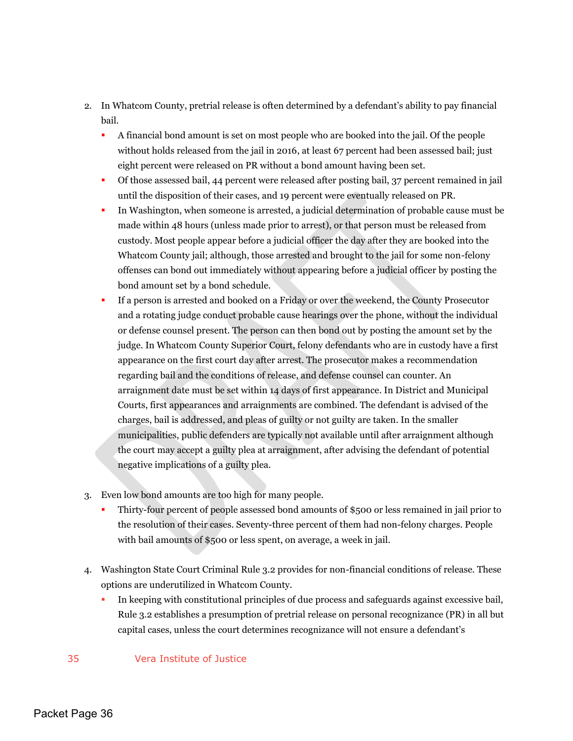- 2. In Whatcom County, pretrial release is often determined by a defendant's ability to pay financial bail.
	- A financial bond amount is set on most people who are booked into the jail. Of the people without holds released from the jail in 2016, at least 67 percent had been assessed bail; just eight percent were released on PR without a bond amount having been set.
	- Of those assessed bail, 44 percent were released after posting bail, 37 percent remained in jail until the disposition of their cases, and 19 percent were eventually released on PR.
	- In Washington, when someone is arrested, a judicial determination of probable cause must be made within 48 hours (unless made prior to arrest), or that person must be released from custody. Most people appear before a judicial officer the day after they are booked into the Whatcom County jail; although, those arrested and brought to the jail for some non-felony offenses can bond out immediately without appearing before a judicial officer by posting the bond amount set by a bond schedule.
	- If a person is arrested and booked on a Friday or over the weekend, the County Prosecutor and a rotating judge conduct probable cause hearings over the phone, without the individual or defense counsel present. The person can then bond out by posting the amount set by the judge. In Whatcom County Superior Court, felony defendants who are in custody have a first appearance on the first court day after arrest. The prosecutor makes a recommendation regarding bail and the conditions of release, and defense counsel can counter. An arraignment date must be set within 14 days of first appearance. In District and Municipal Courts, first appearances and arraignments are combined. The defendant is advised of the charges, bail is addressed, and pleas of guilty or not guilty are taken. In the smaller municipalities, public defenders are typically not available until after arraignment although the court may accept a guilty plea at arraignment, after advising the defendant of potential negative implications of a guilty plea.
- 3. Even low bond amounts are too high for many people.
	- Thirty-four percent of people assessed bond amounts of \$500 or less remained in jail prior to the resolution of their cases. Seventy-three percent of them had non-felony charges. People with bail amounts of \$500 or less spent, on average, a week in jail.
- 4. Washington State Court Criminal Rule 3.2 provides for non-financial conditions of release. These options are underutilized in Whatcom County.
	- In keeping with constitutional principles of due process and safeguards against excessive bail, Rule 3.2 establishes a presumption of pretrial release on personal recognizance (PR) in all but capital cases, unless the court determines recognizance will not ensure a defendant's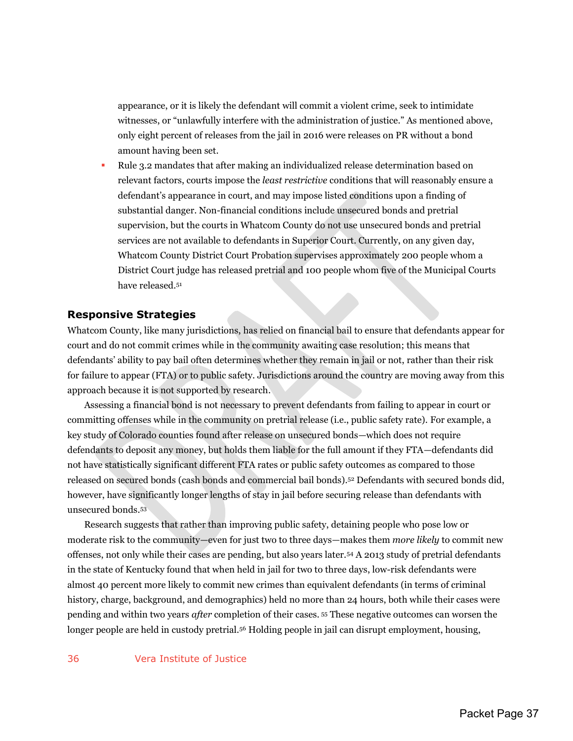appearance, or it is likely the defendant will commit a violent crime, seek to intimidate witnesses, or "unlawfully interfere with the administration of justice." As mentioned above, only eight percent of releases from the jail in 2016 were releases on PR without a bond amount having been set.

 Rule 3.2 mandates that after making an individualized release determination based on relevant factors, courts impose the *least restrictive* conditions that will reasonably ensure a defendant's appearance in court, and may impose listed conditions upon a finding of substantial danger. Non-financial conditions include unsecured bonds and pretrial supervision, but the courts in Whatcom County do not use unsecured bonds and pretrial services are not available to defendants in Superior Court. Currently, on any given day, Whatcom County District Court Probation supervises approximately 200 people whom a District Court judge has released pretrial and 100 people whom five of the Municipal Courts have released.<sup>51</sup>

#### <span id="page-37-0"></span>**Responsive Strategies**

Whatcom County, like many jurisdictions, has relied on financial bail to ensure that defendants appear for court and do not commit crimes while in the community awaiting case resolution; this means that defendants' ability to pay bail often determines whether they remain in jail or not, rather than their risk for failure to appear (FTA) or to public safety. Jurisdictions around the country are moving away from this approach because it is not supported by research.

Assessing a financial bond is not necessary to prevent defendants from failing to appear in court or committing offenses while in the community on pretrial release (i.e., public safety rate). For example, a key study of Colorado counties found after release on unsecured bonds—which does not require defendants to deposit any money, but holds them liable for the full amount if they FTA—defendants did not have statistically significant different FTA rates or public safety outcomes as compared to those released on secured bonds (cash bonds and commercial bail bonds).52 Defendants with secured bonds did, however, have significantly longer lengths of stay in jail before securing release than defendants with unsecured bonds.<sup>53</sup>

Research suggests that rather than improving public safety, detaining people who pose low or moderate risk to the community—even for just two to three days—makes them *more likely* to commit new offenses, not only while their cases are pending, but also years later.54 A 2013 study of pretrial defendants in the state of Kentucky found that when held in jail for two to three days, low-risk defendants were almost 40 percent more likely to commit new crimes than equivalent defendants (in terms of criminal history, charge, background, and demographics) held no more than 24 hours, both while their cases were pending and within two years *after* completion of their cases. <sup>55</sup> These negative outcomes can worsen the longer people are held in custody pretrial.56 Holding people in jail can disrupt employment, housing,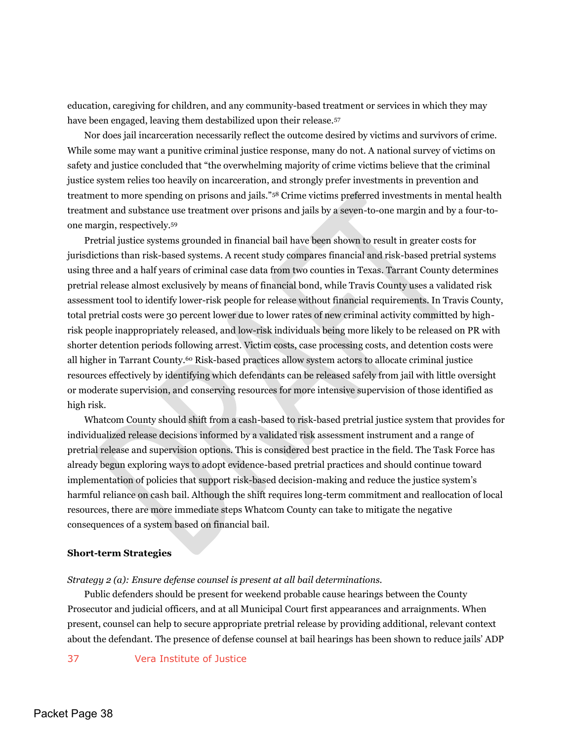education, caregiving for children, and any community-based treatment or services in which they may have been engaged, leaving them destabilized upon their release.<sup>57</sup>

Nor does jail incarceration necessarily reflect the outcome desired by victims and survivors of crime. While some may want a punitive criminal justice response, many do not. A national survey of victims on safety and justice concluded that "the overwhelming majority of crime victims believe that the criminal justice system relies too heavily on incarceration, and strongly prefer investments in prevention and treatment to more spending on prisons and jails."58 Crime victims preferred investments in mental health treatment and substance use treatment over prisons and jails by a seven-to-one margin and by a four-toone margin, respectively.<sup>59</sup>

Pretrial justice systems grounded in financial bail have been shown to result in greater costs for jurisdictions than risk-based systems. A recent study compares financial and risk-based pretrial systems using three and a half years of criminal case data from two counties in Texas. Tarrant County determines pretrial release almost exclusively by means of financial bond, while Travis County uses a validated risk assessment tool to identify lower-risk people for release without financial requirements. In Travis County, total pretrial costs were 30 percent lower due to lower rates of new criminal activity committed by highrisk people inappropriately released, and low-risk individuals being more likely to be released on PR with shorter detention periods following arrest. Victim costs, case processing costs, and detention costs were all higher in Tarrant County.60 Risk-based practices allow system actors to allocate criminal justice resources effectively by identifying which defendants can be released safely from jail with little oversight or moderate supervision, and conserving resources for more intensive supervision of those identified as high risk.

Whatcom County should shift from a cash-based to risk-based pretrial justice system that provides for individualized release decisions informed by a validated risk assessment instrument and a range of pretrial release and supervision options. This is considered best practice in the field. The Task Force has already begun exploring ways to adopt evidence-based pretrial practices and should continue toward implementation of policies that support risk-based decision-making and reduce the justice system's harmful reliance on cash bail. Although the shift requires long-term commitment and reallocation of local resources, there are more immediate steps Whatcom County can take to mitigate the negative consequences of a system based on financial bail.

#### **Short-term Strategies**

*Strategy 2 (a): Ensure defense counsel is present at all bail determinations.* 

Public defenders should be present for weekend probable cause hearings between the County Prosecutor and judicial officers, and at all Municipal Court first appearances and arraignments. When present, counsel can help to secure appropriate pretrial release by providing additional, relevant context about the defendant. The presence of defense counsel at bail hearings has been shown to reduce jails' ADP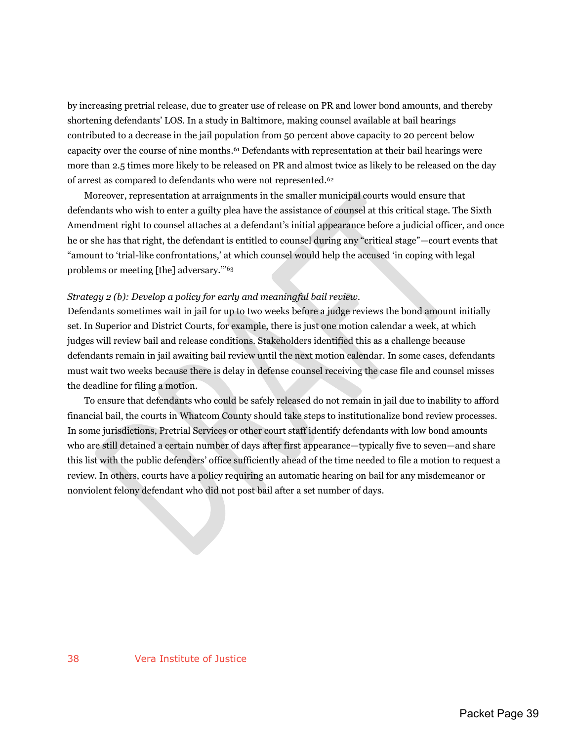by increasing pretrial release, due to greater use of release on PR and lower bond amounts, and thereby shortening defendants' LOS. In a study in Baltimore, making counsel available at bail hearings contributed to a decrease in the jail population from 50 percent above capacity to 20 percent below capacity over the course of nine months.61 Defendants with representation at their bail hearings were more than 2.5 times more likely to be released on PR and almost twice as likely to be released on the day of arrest as compared to defendants who were not represented.<sup>62</sup>

Moreover, representation at arraignments in the smaller municipal courts would ensure that defendants who wish to enter a guilty plea have the assistance of counsel at this critical stage. The Sixth Amendment right to counsel attaches at a defendant's initial appearance before a judicial officer, and once he or she has that right, the defendant is entitled to counsel during any "critical stage"—court events that "amount to 'trial-like confrontations,' at which counsel would help the accused 'in coping with legal problems or meeting [the] adversary.'"<sup>63</sup>

#### *Strategy 2 (b): Develop a policy for early and meaningful bail review.*

Defendants sometimes wait in jail for up to two weeks before a judge reviews the bond amount initially set. In Superior and District Courts, for example, there is just one motion calendar a week, at which judges will review bail and release conditions. Stakeholders identified this as a challenge because defendants remain in jail awaiting bail review until the next motion calendar. In some cases, defendants must wait two weeks because there is delay in defense counsel receiving the case file and counsel misses the deadline for filing a motion.

To ensure that defendants who could be safely released do not remain in jail due to inability to afford financial bail, the courts in Whatcom County should take steps to institutionalize bond review processes. In some jurisdictions, Pretrial Services or other court staff identify defendants with low bond amounts who are still detained a certain number of days after first appearance—typically five to seven—and share this list with the public defenders' office sufficiently ahead of the time needed to file a motion to request a review. In others, courts have a policy requiring an automatic hearing on bail for any misdemeanor or nonviolent felony defendant who did not post bail after a set number of days.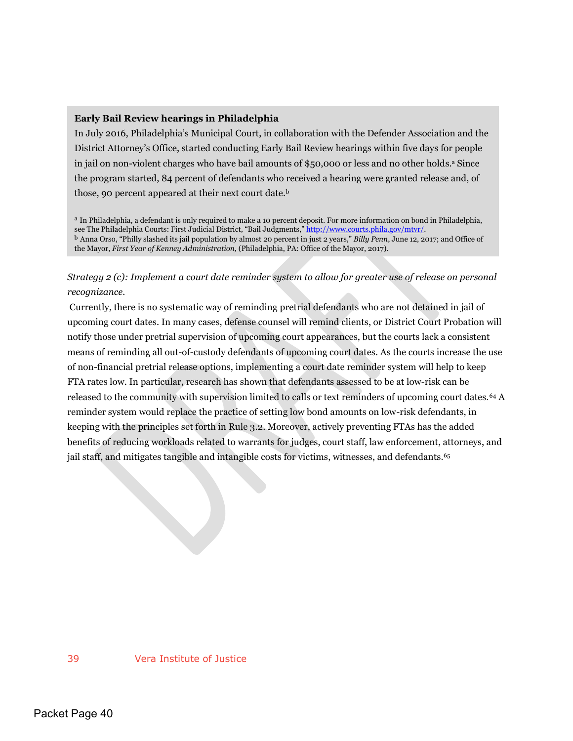#### **Early Bail Review hearings in Philadelphia**

In July 2016, Philadelphia's Municipal Court, in collaboration with the Defender Association and the District Attorney's Office, started conducting Early Bail Review hearings within five days for people in jail on non-violent charges who have bail amounts of \$50,000 or less and no other holds.<sup>a</sup> Since the program started, 84 percent of defendants who received a hearing were granted release and, of those, 90 percent appeared at their next court date.<sup>b</sup>

a In Philadelphia, a defendant is only required to make a 10 percent deposit. For more information on bond in Philadelphia, see The Philadelphia Courts: First Judicial District, "Bail Judgments," [http://www.courts.phila.gov/mtvr/.](http://www.courts.phila.gov/mtvr/) <sup>b</sup> Anna Orso, "Philly slashed its jail population by almost 20 percent in just 2 years," *Billy Penn*, June 12, 2017; and Office of the Mayor, *First Year of Kenney Administration,* (Philadelphia, PA: Office of the Mayor, 2017).

*Strategy 2 (c): Implement a court date reminder system to allow for greater use of release on personal recognizance.* 

Currently, there is no systematic way of reminding pretrial defendants who are not detained in jail of upcoming court dates. In many cases, defense counsel will remind clients, or District Court Probation will notify those under pretrial supervision of upcoming court appearances, but the courts lack a consistent means of reminding all out-of-custody defendants of upcoming court dates. As the courts increase the use of non-financial pretrial release options, implementing a court date reminder system will help to keep FTA rates low. In particular, research has shown that defendants assessed to be at low-risk can be released to the community with supervision limited to calls or text reminders of upcoming court dates.<sup>64</sup> A reminder system would replace the practice of setting low bond amounts on low-risk defendants, in keeping with the principles set forth in Rule 3.2. Moreover, actively preventing FTAs has the added benefits of reducing workloads related to warrants for judges, court staff, law enforcement, attorneys, and jail staff, and mitigates tangible and intangible costs for victims, witnesses, and defendants.<sup>65</sup>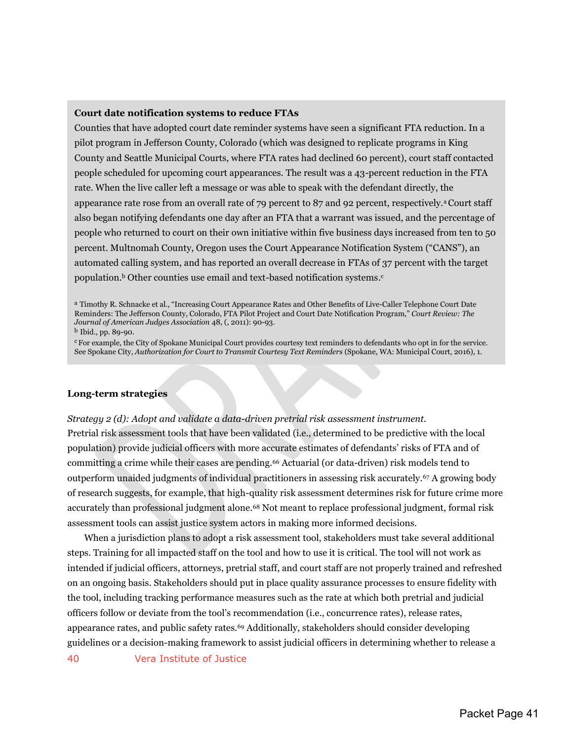#### **Court date notification systems to reduce FTAs**

Counties that have adopted court date reminder systems have seen a significant FTA reduction. In a pilot program in Jefferson County, Colorado (which was designed to replicate programs in King County and Seattle Municipal Courts, where FTA rates had declined 60 percent), court staff contacted people scheduled for upcoming court appearances. The result was a 43-percent reduction in the FTA rate. When the live caller left a message or was able to speak with the defendant directly, the appearance rate rose from an overall rate of 79 percent to 87 and 92 percent, respectively.<sup>a</sup> Court staff also began notifying defendants one day after an FTA that a warrant was issued, and the percentage of people who returned to court on their own initiative within five business days increased from ten to 50 percent. Multnomah County, Oregon uses the Court Appearance Notification System ("CANS"), an automated calling system, and has reported an overall decrease in FTAs of 37 percent with the target population.<sup>b</sup> Other counties use email and text-based notification systems.<sup>c</sup>

<sup>a</sup> Timothy R. Schnacke et al., "Increasing Court Appearance Rates and Other Benefits of Live-Caller Telephone Court Date Reminders: The Jefferson County, Colorado, FTA Pilot Project and Court Date Notification Program," *Court Review: The Journal of American Judges Association* 48, (, 2011): 90-93.

<sup>b</sup> Ibid., pp. 89-90.

<sup>c</sup> For example, the City of Spokane Municipal Court provides courtesy text reminders to defendants who opt in for the service. See Spokane City, *Authorization for Court to Transmit Courtesy Text Reminders* (Spokane, WA: Municipal Court, 2016), 1.

#### **Long-term strategies**

*Strategy 2 (d): Adopt and validate a data-driven pretrial risk assessment instrument.*  Pretrial risk assessment tools that have been validated (i.e., determined to be predictive with the local population) provide judicial officers with more accurate estimates of defendants' risks of FTA and of committing a crime while their cases are pending.66 Actuarial (or data-driven) risk models tend to outperform unaided judgments of individual practitioners in assessing risk accurately.67 A growing body of research suggests, for example, that high-quality risk assessment determines risk for future crime more accurately than professional judgment alone.68 Not meant to replace professional judgment, formal risk assessment tools can assist justice system actors in making more informed decisions.

When a jurisdiction plans to adopt a risk assessment tool, stakeholders must take several additional steps. Training for all impacted staff on the tool and how to use it is critical. The tool will not work as intended if judicial officers, attorneys, pretrial staff, and court staff are not properly trained and refreshed on an ongoing basis. Stakeholders should put in place quality assurance processes to ensure fidelity with the tool, including tracking performance measures such as the rate at which both pretrial and judicial officers follow or deviate from the tool's recommendation (i.e., concurrence rates), release rates, appearance rates, and public safety rates.<sup>69</sup> Additionally, stakeholders should consider developing guidelines or a decision-making framework to assist judicial officers in determining whether to release a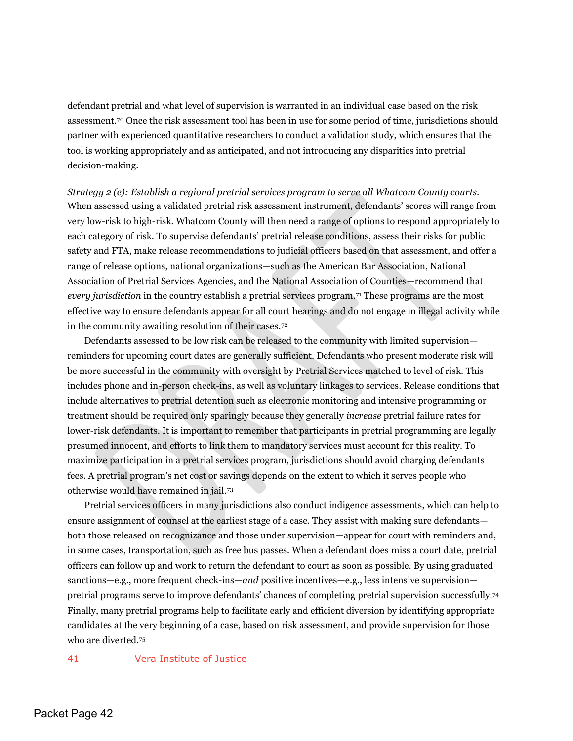defendant pretrial and what level of supervision is warranted in an individual case based on the risk assessment.70 Once the risk assessment tool has been in use for some period of time, jurisdictions should partner with experienced quantitative researchers to conduct a validation study, which ensures that the tool is working appropriately and as anticipated, and not introducing any disparities into pretrial decision-making.

*Strategy 2 (e): Establish a regional pretrial services program to serve all Whatcom County courts.*  When assessed using a validated pretrial risk assessment instrument, defendants' scores will range from very low-risk to high-risk. Whatcom County will then need a range of options to respond appropriately to each category of risk. To supervise defendants' pretrial release conditions, assess their risks for public safety and FTA, make release recommendations to judicial officers based on that assessment, and offer a range of release options, national organizations—such as the American Bar Association, National Association of Pretrial Services Agencies, and the National Association of Counties—recommend that *every jurisdiction* in the country establish a pretrial services program.71 These programs are the most effective way to ensure defendants appear for all court hearings and do not engage in illegal activity while in the community awaiting resolution of their cases.<sup>72</sup>

Defendants assessed to be low risk can be released to the community with limited supervision reminders for upcoming court dates are generally sufficient. Defendants who present moderate risk will be more successful in the community with oversight by Pretrial Services matched to level of risk. This includes phone and in-person check-ins, as well as voluntary linkages to services. Release conditions that include alternatives to pretrial detention such as electronic monitoring and intensive programming or treatment should be required only sparingly because they generally *increase* pretrial failure rates for lower-risk defendants. It is important to remember that participants in pretrial programming are legally presumed innocent, and efforts to link them to mandatory services must account for this reality. To maximize participation in a pretrial services program, jurisdictions should avoid charging defendants fees. A pretrial program's net cost or savings depends on the extent to which it serves people who otherwise would have remained in jail.<sup>73</sup>

Pretrial services officers in many jurisdictions also conduct indigence assessments, which can help to ensure assignment of counsel at the earliest stage of a case. They assist with making sure defendants both those released on recognizance and those under supervision—appear for court with reminders and, in some cases, transportation, such as free bus passes. When a defendant does miss a court date, pretrial officers can follow up and work to return the defendant to court as soon as possible. By using graduated sanctions—e.g., more frequent check-ins—*and* positive incentives—e.g., less intensive supervision pretrial programs serve to improve defendants' chances of completing pretrial supervision successfully.<sup>74</sup> Finally, many pretrial programs help to facilitate early and efficient diversion by identifying appropriate candidates at the very beginning of a case, based on risk assessment, and provide supervision for those who are diverted.<sup>75</sup>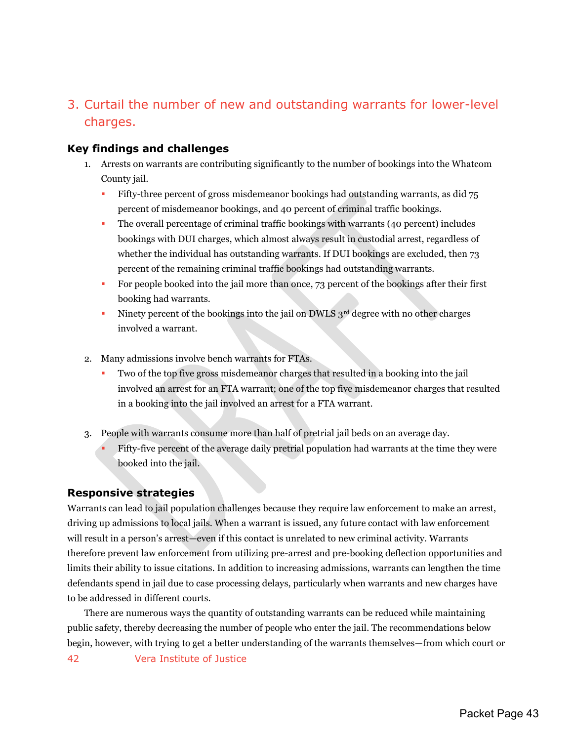## <span id="page-43-0"></span>3. Curtail the number of new and outstanding warrants for lower-level charges.

## <span id="page-43-1"></span>**Key findings and challenges**

- 1. Arrests on warrants are contributing significantly to the number of bookings into the Whatcom County jail.
	- Fifty-three percent of gross misdemeanor bookings had outstanding warrants, as did 75 percent of misdemeanor bookings, and 40 percent of criminal traffic bookings.
	- The overall percentage of criminal traffic bookings with warrants (40 percent) includes bookings with DUI charges, which almost always result in custodial arrest, regardless of whether the individual has outstanding warrants. If DUI bookings are excluded, then 73 percent of the remaining criminal traffic bookings had outstanding warrants.
	- For people booked into the jail more than once, 73 percent of the bookings after their first booking had warrants.
	- Ninety percent of the bookings into the jail on DWLS 3rd degree with no other charges involved a warrant.
- 2. Many admissions involve bench warrants for FTAs.
	- Two of the top five gross misdemeanor charges that resulted in a booking into the jail involved an arrest for an FTA warrant; one of the top five misdemeanor charges that resulted in a booking into the jail involved an arrest for a FTA warrant.
- 3. People with warrants consume more than half of pretrial jail beds on an average day.
	- Fifty-five percent of the average daily pretrial population had warrants at the time they were booked into the jail.

## <span id="page-43-2"></span>**Responsive strategies**

Warrants can lead to jail population challenges because they require law enforcement to make an arrest, driving up admissions to local jails. When a warrant is issued, any future contact with law enforcement will result in a person's arrest—even if this contact is unrelated to new criminal activity. Warrants therefore prevent law enforcement from utilizing pre-arrest and pre-booking deflection opportunities and limits their ability to issue citations. In addition to increasing admissions, warrants can lengthen the time defendants spend in jail due to case processing delays, particularly when warrants and new charges have to be addressed in different courts.

There are numerous ways the quantity of outstanding warrants can be reduced while maintaining public safety, thereby decreasing the number of people who enter the jail. The recommendations below begin, however, with trying to get a better understanding of the warrants themselves—from which court or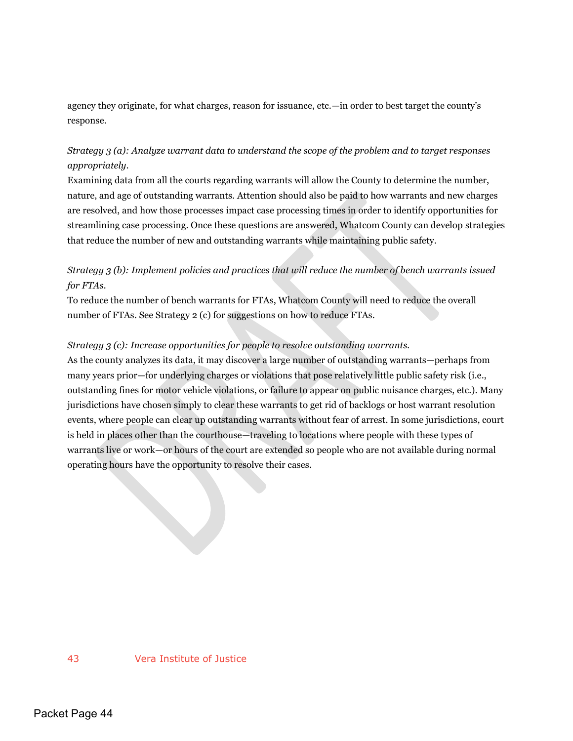agency they originate, for what charges, reason for issuance, etc.—in order to best target the county's response.

## *Strategy 3 (a): Analyze warrant data to understand the scope of the problem and to target responses appropriately*.

Examining data from all the courts regarding warrants will allow the County to determine the number, nature, and age of outstanding warrants. Attention should also be paid to how warrants and new charges are resolved, and how those processes impact case processing times in order to identify opportunities for streamlining case processing. Once these questions are answered, Whatcom County can develop strategies that reduce the number of new and outstanding warrants while maintaining public safety.

## *Strategy 3 (b): Implement policies and practices that will reduce the number of bench warrants issued for FTAs.*

To reduce the number of bench warrants for FTAs, Whatcom County will need to reduce the overall number of FTAs. See Strategy 2 (c) for suggestions on how to reduce FTAs.

## *Strategy 3 (c): Increase opportunities for people to resolve outstanding warrants.*

As the county analyzes its data, it may discover a large number of outstanding warrants—perhaps from many years prior—for underlying charges or violations that pose relatively little public safety risk (i.e., outstanding fines for motor vehicle violations, or failure to appear on public nuisance charges, etc.). Many jurisdictions have chosen simply to clear these warrants to get rid of backlogs or host warrant resolution events, where people can clear up outstanding warrants without fear of arrest. In some jurisdictions, court is held in places other than the courthouse—traveling to locations where people with these types of warrants live or work—or hours of the court are extended so people who are not available during normal operating hours have the opportunity to resolve their cases.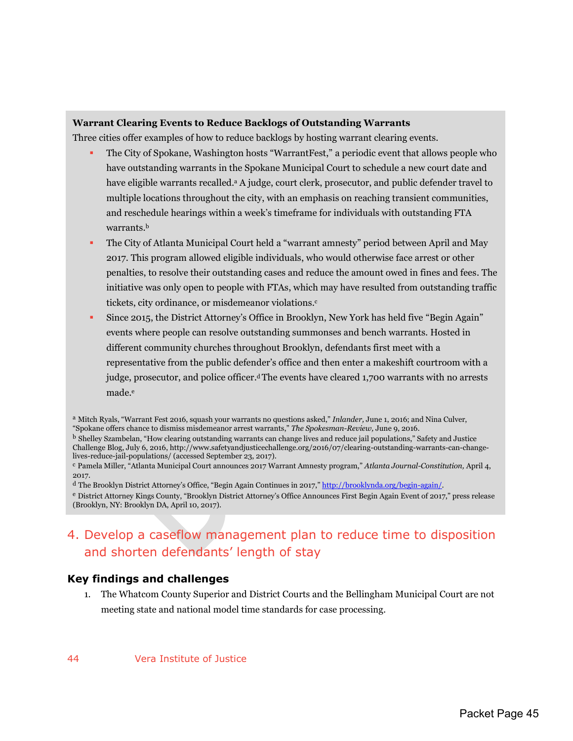#### **Warrant Clearing Events to Reduce Backlogs of Outstanding Warrants**

Three cities offer examples of how to reduce backlogs by hosting warrant clearing events.

- The City of Spokane, Washington hosts "WarrantFest," a periodic event that allows people who have outstanding warrants in the Spokane Municipal Court to schedule a new court date and have eligible warrants recalled.<sup>a</sup> A judge, court clerk, prosecutor, and public defender travel to multiple locations throughout the city, with an emphasis on reaching transient communities, and reschedule hearings within a week's timeframe for individuals with outstanding FTA warrants. b
- The City of Atlanta Municipal Court held a "warrant amnesty" period between April and May 2017. This program allowed eligible individuals, who would otherwise face arrest or other penalties, to resolve their outstanding cases and reduce the amount owed in fines and fees. The initiative was only open to people with FTAs, which may have resulted from outstanding traffic tickets, city ordinance, or misdemeanor violations. c
- Since 2015, the District Attorney's Office in Brooklyn, New York has held five "Begin Again" events where people can resolve outstanding summonses and bench warrants. Hosted in different community churches throughout Brooklyn, defendants first meet with a representative from the public defender's office and then enter a makeshift courtroom with a judge, prosecutor, and police officer.<sup>d</sup> The events have cleared 1,700 warrants with no arrests made.<sup>e</sup>

<sup>d</sup> The Brooklyn District Attorney's Office, "Begin Again Continues in 2017," [http://brooklynda.org/begin-again/.](http://brooklynda.org/begin-again/)

## <span id="page-45-0"></span>4. Develop a caseflow management plan to reduce time to disposition and shorten defendants' length of stay

## <span id="page-45-1"></span>**Key findings and challenges**

1. The Whatcom County Superior and District Courts and the Bellingham Municipal Court are not meeting state and national model time standards for case processing.

<sup>a</sup> Mitch Ryals, "Warrant Fest 2016, squash your warrants no questions asked," *Inlander,* June 1, 2016; and Nina Culver, "Spokane offers chance to dismiss misdemeanor arrest warrants," *The Spokesman-Review,* June 9, 2016.

<sup>b</sup> Shelley Szambelan, "How clearing outstanding warrants can change lives and reduce jail populations," Safety and Justice Challenge Blog, July 6, 2016, http://www.safetyandjusticechallenge.org/2016/07/clearing-outstanding-warrants-can-changelives-reduce-jail-populations/ (accessed September 23, 2017).

<sup>c</sup> Pamela Miller, "Atlanta Municipal Court announces 2017 Warrant Amnesty program," *Atlanta Journal-Constitution,* April 4, 2017.

<sup>e</sup> District Attorney Kings County, "Brooklyn District Attorney's Office Announces First Begin Again Event of 2017," press release (Brooklyn, NY: Brooklyn DA, April 10, 2017).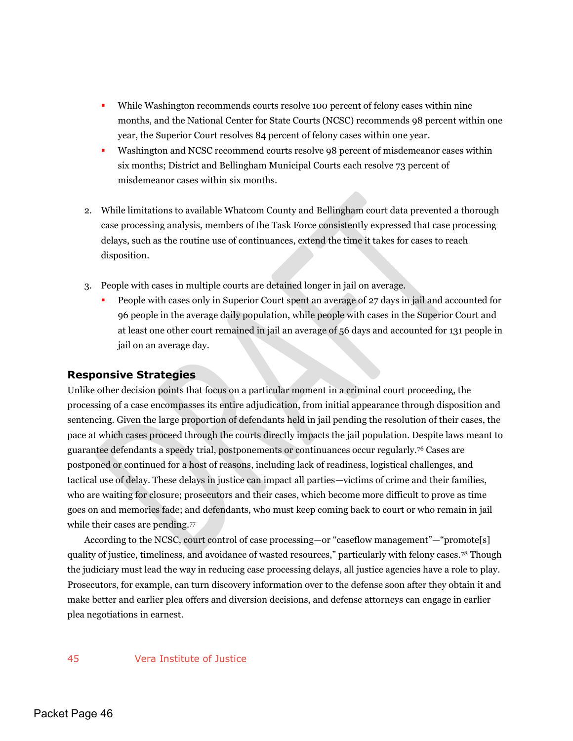- While Washington recommends courts resolve 100 percent of felony cases within nine months, and the National Center for State Courts (NCSC) recommends 98 percent within one year, the Superior Court resolves 84 percent of felony cases within one year.
- Washington and NCSC recommend courts resolve 98 percent of misdemeanor cases within six months; District and Bellingham Municipal Courts each resolve 73 percent of misdemeanor cases within six months.
- 2. While limitations to available Whatcom County and Bellingham court data prevented a thorough case processing analysis, members of the Task Force consistently expressed that case processing delays, such as the routine use of continuances, extend the time it takes for cases to reach disposition.
- 3. People with cases in multiple courts are detained longer in jail on average.
	- People with cases only in Superior Court spent an average of 27 days in jail and accounted for 96 people in the average daily population, while people with cases in the Superior Court and at least one other court remained in jail an average of 56 days and accounted for 131 people in jail on an average day.

#### <span id="page-46-0"></span>**Responsive Strategies**

Unlike other decision points that focus on a particular moment in a criminal court proceeding, the processing of a case encompasses its entire adjudication, from initial appearance through disposition and sentencing. Given the large proportion of defendants held in jail pending the resolution of their cases, the pace at which cases proceed through the courts directly impacts the jail population. Despite laws meant to guarantee defendants a speedy trial, postponements or continuances occur regularly.76 Cases are postponed or continued for a host of reasons, including lack of readiness, logistical challenges, and tactical use of delay. These delays in justice can impact all parties—victims of crime and their families, who are waiting for closure; prosecutors and their cases, which become more difficult to prove as time goes on and memories fade; and defendants, who must keep coming back to court or who remain in jail while their cases are pending.77

According to the NCSC, court control of case processing—or "caseflow management"—"promote[s] quality of justice, timeliness, and avoidance of wasted resources," particularly with felony cases.78 Though the judiciary must lead the way in reducing case processing delays, all justice agencies have a role to play. Prosecutors, for example, can turn discovery information over to the defense soon after they obtain it and make better and earlier plea offers and diversion decisions, and defense attorneys can engage in earlier plea negotiations in earnest.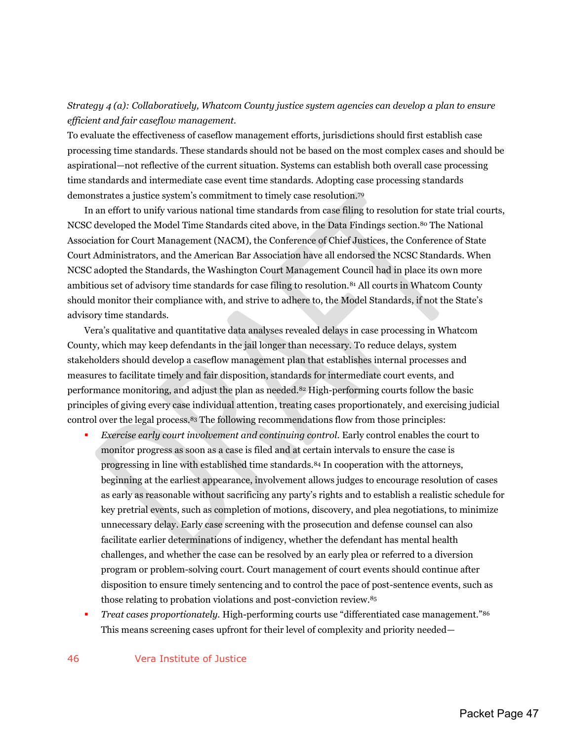## *Strategy 4 (a): Collaboratively, Whatcom County justice system agencies can develop a plan to ensure efficient and fair caseflow management.*

To evaluate the effectiveness of caseflow management efforts, jurisdictions should first establish case processing time standards. These standards should not be based on the most complex cases and should be aspirational—not reflective of the current situation. Systems can establish both overall case processing time standards and intermediate case event time standards. Adopting case processing standards demonstrates a justice system's commitment to timely case resolution.<sup>79</sup>

In an effort to unify various national time standards from case filing to resolution for state trial courts, NCSC developed the Model Time Standards cited above, in the Data Findings section.80 The National Association for Court Management (NACM), the Conference of Chief Justices, the Conference of State Court Administrators, and the American Bar Association have all endorsed the NCSC Standards. When NCSC adopted the Standards, the Washington Court Management Council had in place its own more ambitious set of advisory time standards for case filing to resolution.81 All courts in Whatcom County should monitor their compliance with, and strive to adhere to, the Model Standards, if not the State's advisory time standards.

Vera's qualitative and quantitative data analyses revealed delays in case processing in Whatcom County, which may keep defendants in the jail longer than necessary. To reduce delays, system stakeholders should develop a caseflow management plan that establishes internal processes and measures to facilitate timely and fair disposition, standards for intermediate court events, and performance monitoring, and adjust the plan as needed.82 High-performing courts follow the basic principles of giving every case individual attention, treating cases proportionately, and exercising judicial control over the legal process.83 The following recommendations flow from those principles:

- *Exercise early court involvement and continuing control.* Early control enables the court to monitor progress as soon as a case is filed and at certain intervals to ensure the case is progressing in line with established time standards.84 In cooperation with the attorneys, beginning at the earliest appearance, involvement allows judges to encourage resolution of cases as early as reasonable without sacrificing any party's rights and to establish a realistic schedule for key pretrial events, such as completion of motions, discovery, and plea negotiations, to minimize unnecessary delay. Early case screening with the prosecution and defense counsel can also facilitate earlier determinations of indigency, whether the defendant has mental health challenges, and whether the case can be resolved by an early plea or referred to a diversion program or problem-solving court. Court management of court events should continue after disposition to ensure timely sentencing and to control the pace of post-sentence events, such as those relating to probation violations and post-conviction review.<sup>85</sup>
- *Treat cases proportionately.* High-performing courts use "differentiated case management."<sup>86</sup> This means screening cases upfront for their level of complexity and priority needed—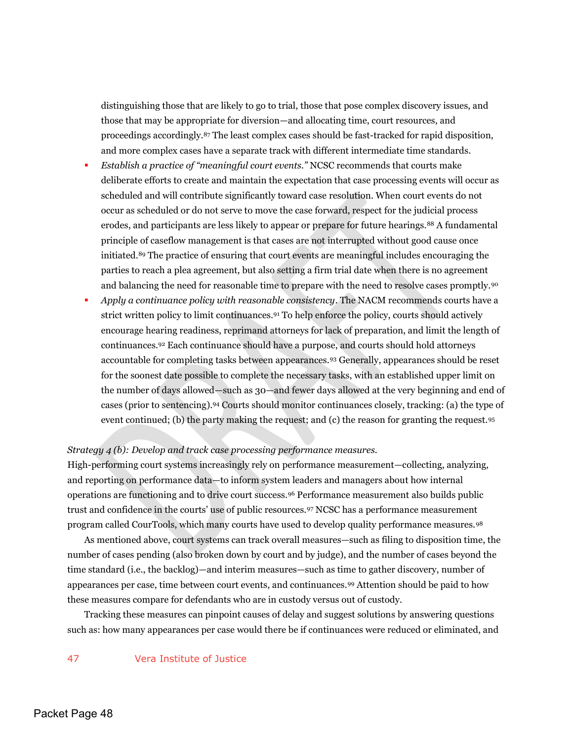distinguishing those that are likely to go to trial, those that pose complex discovery issues, and those that may be appropriate for diversion—and allocating time, court resources, and proceedings accordingly.87 The least complex cases should be fast-tracked for rapid disposition, and more complex cases have a separate track with different intermediate time standards.

- *Establish a practice of "meaningful court events."* NCSC recommends that courts make deliberate efforts to create and maintain the expectation that case processing events will occur as scheduled and will contribute significantly toward case resolution. When court events do not occur as scheduled or do not serve to move the case forward, respect for the judicial process erodes, and participants are less likely to appear or prepare for future hearings.88 A fundamental principle of caseflow management is that cases are not interrupted without good cause once initiated.89 The practice of ensuring that court events are meaningful includes encouraging the parties to reach a plea agreement, but also setting a firm trial date when there is no agreement and balancing the need for reasonable time to prepare with the need to resolve cases promptly.<sup>90</sup>
- *Apply a continuance policy with reasonable consistency*. The NACM recommends courts have a strict written policy to limit continuances.91 To help enforce the policy, courts should actively encourage hearing readiness, reprimand attorneys for lack of preparation, and limit the length of continuances.92 Each continuance should have a purpose, and courts should hold attorneys accountable for completing tasks between appearances.93 Generally, appearances should be reset for the soonest date possible to complete the necessary tasks, with an established upper limit on the number of days allowed—such as 30—and fewer days allowed at the very beginning and end of cases (prior to sentencing).94 Courts should monitor continuances closely, tracking: (a) the type of event continued; (b) the party making the request; and (c) the reason for granting the request.<sup>95</sup>

#### *Strategy 4 (b): Develop and track case processing performance measures.*

High-performing court systems increasingly rely on performance measurement—collecting, analyzing, and reporting on performance data—to inform system leaders and managers about how internal operations are functioning and to drive court success.96 Performance measurement also builds public trust and confidence in the courts' use of public resources.97 NCSC has a performance measurement program called CourTools, which many courts have used to develop quality performance measures.<sup>98</sup>

As mentioned above, court systems can track overall measures—such as filing to disposition time, the number of cases pending (also broken down by court and by judge), and the number of cases beyond the time standard (i.e., the backlog)—and interim measures—such as time to gather discovery, number of appearances per case, time between court events, and continuances.99 Attention should be paid to how these measures compare for defendants who are in custody versus out of custody.

Tracking these measures can pinpoint causes of delay and suggest solutions by answering questions such as: how many appearances per case would there be if continuances were reduced or eliminated, and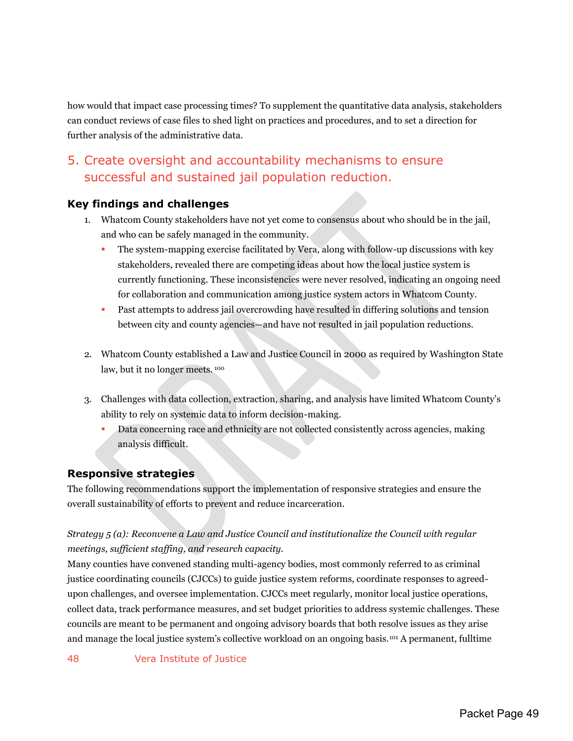how would that impact case processing times? To supplement the quantitative data analysis, stakeholders can conduct reviews of case files to shed light on practices and procedures, and to set a direction for further analysis of the administrative data.

## <span id="page-49-0"></span>5. Create oversight and accountability mechanisms to ensure successful and sustained jail population reduction.

## **Key findings and challenges**

- 1. Whatcom County stakeholders have not yet come to consensus about who should be in the jail, and who can be safely managed in the community.
	- The system-mapping exercise facilitated by Vera, along with follow-up discussions with key stakeholders, revealed there are competing ideas about how the local justice system is currently functioning. These inconsistencies were never resolved, indicating an ongoing need for collaboration and communication among justice system actors in Whatcom County.
	- Past attempts to address jail overcrowding have resulted in differing solutions and tension between city and county agencies—and have not resulted in jail population reductions.
- 2. Whatcom County established a Law and Justice Council in 2000 as required by Washington State law, but it no longer meets. <sup>100</sup>
- 3. Challenges with data collection, extraction, sharing, and analysis have limited Whatcom County's ability to rely on systemic data to inform decision-making.
	- Data concerning race and ethnicity are not collected consistently across agencies, making analysis difficult.

## <span id="page-49-1"></span>**Responsive strategies**

The following recommendations support the implementation of responsive strategies and ensure the overall sustainability of efforts to prevent and reduce incarceration.

## *Strategy 5 (a): Reconvene a Law and Justice Council and institutionalize the Council with regular meetings, sufficient staffing, and research capacity.*

Many counties have convened standing multi-agency bodies, most commonly referred to as criminal justice coordinating councils (CJCCs) to guide justice system reforms, coordinate responses to agreedupon challenges, and oversee implementation. CJCCs meet regularly, monitor local justice operations, collect data, track performance measures, and set budget priorities to address systemic challenges. These councils are meant to be permanent and ongoing advisory boards that both resolve issues as they arise and manage the local justice system's collective workload on an ongoing basis.101 A permanent, fulltime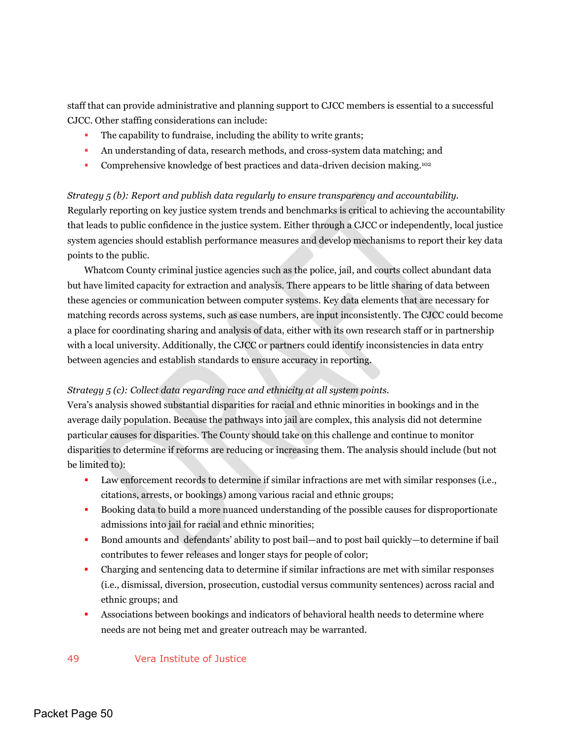staff that can provide administrative and planning support to CJCC members is essential to a successful CJCC. Other staffing considerations can include:

- The capability to fundraise, including the ability to write grants;
- An understanding of data, research methods, and cross-system data matching; and
- **Comprehensive knowledge of best practices and data-driven decision making.**<sup>102</sup>

#### *Strategy 5 (b): Report and publish data regularly to ensure transparency and accountability.*

Regularly reporting on key justice system trends and benchmarks is critical to achieving the accountability that leads to public confidence in the justice system. Either through a CJCC or independently, local justice system agencies should establish performance measures and develop mechanisms to report their key data points to the public.

Whatcom County criminal justice agencies such as the police, jail, and courts collect abundant data but have limited capacity for extraction and analysis. There appears to be little sharing of data between these agencies or communication between computer systems. Key data elements that are necessary for matching records across systems, such as case numbers, are input inconsistently. The CJCC could become a place for coordinating sharing and analysis of data, either with its own research staff or in partnership with a local university. Additionally, the CJCC or partners could identify inconsistencies in data entry between agencies and establish standards to ensure accuracy in reporting.

#### *Strategy 5 (c): Collect data regarding race and ethnicity at all system points.*

Vera's analysis showed substantial disparities for racial and ethnic minorities in bookings and in the average daily population. Because the pathways into jail are complex, this analysis did not determine particular causes for disparities. The County should take on this challenge and continue to monitor disparities to determine if reforms are reducing or increasing them. The analysis should include (but not be limited to):

- Law enforcement records to determine if similar infractions are met with similar responses (i.e., citations, arrests, or bookings) among various racial and ethnic groups;
- Booking data to build a more nuanced understanding of the possible causes for disproportionate admissions into jail for racial and ethnic minorities;
- Bond amounts and defendants' ability to post bail—and to post bail quickly—to determine if bail contributes to fewer releases and longer stays for people of color;
- Charging and sentencing data to determine if similar infractions are met with similar responses (i.e., dismissal, diversion, prosecution, custodial versus community sentences) across racial and ethnic groups; and
- Associations between bookings and indicators of behavioral health needs to determine where needs are not being met and greater outreach may be warranted.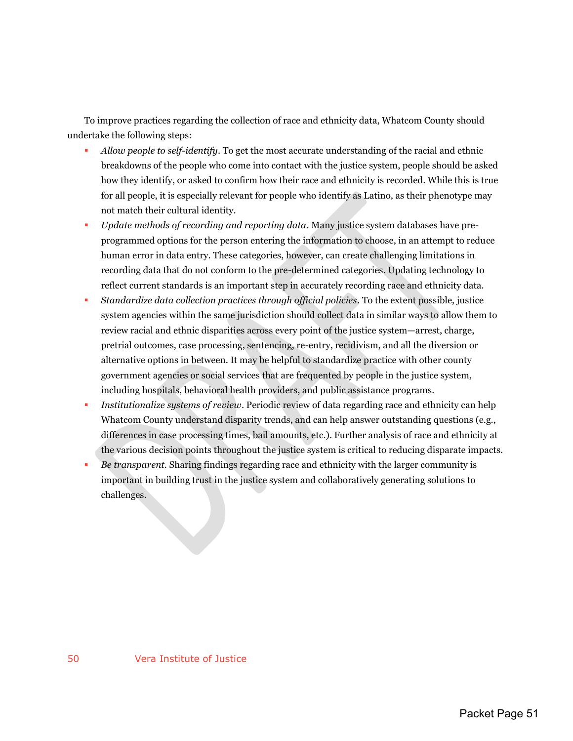To improve practices regarding the collection of race and ethnicity data, Whatcom County should undertake the following steps:

- *Allow people to self-identify*. To get the most accurate understanding of the racial and ethnic breakdowns of the people who come into contact with the justice system, people should be asked how they identify, or asked to confirm how their race and ethnicity is recorded. While this is true for all people, it is especially relevant for people who identify as Latino, as their phenotype may not match their cultural identity.
- *Update methods of recording and reporting data*. Many justice system databases have preprogrammed options for the person entering the information to choose, in an attempt to reduce human error in data entry. These categories, however, can create challenging limitations in recording data that do not conform to the pre-determined categories. Updating technology to reflect current standards is an important step in accurately recording race and ethnicity data.
- *Standardize data collection practices through official policies*. To the extent possible, justice system agencies within the same jurisdiction should collect data in similar ways to allow them to review racial and ethnic disparities across every point of the justice system—arrest, charge, pretrial outcomes, case processing, sentencing, re-entry, recidivism, and all the diversion or alternative options in between. It may be helpful to standardize practice with other county government agencies or social services that are frequented by people in the justice system, including hospitals, behavioral health providers, and public assistance programs.
- *Institutionalize systems of review*. Periodic review of data regarding race and ethnicity can help Whatcom County understand disparity trends, and can help answer outstanding questions (e.g., differences in case processing times, bail amounts, etc.). Further analysis of race and ethnicity at the various decision points throughout the justice system is critical to reducing disparate impacts.
- *Be transparent*. Sharing findings regarding race and ethnicity with the larger community is important in building trust in the justice system and collaboratively generating solutions to challenges.